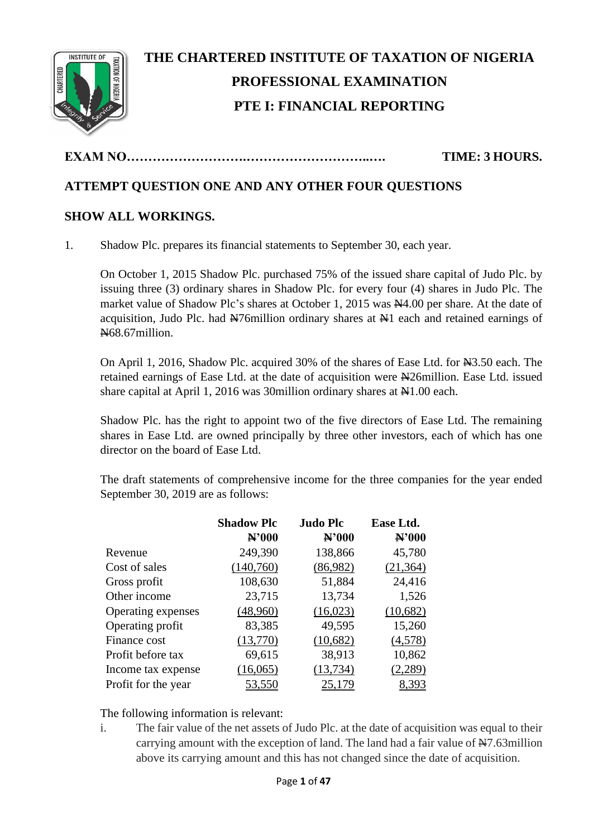

# **THE CHARTERED INSTITUTE OF TAXATION OF NIGERIA PROFESSIONAL EXAMINATION PTE I: FINANCIAL REPORTING**

# **EXAM NO……………………….………………………..…. TIME: 3 HOURS.**

# **ATTEMPT QUESTION ONE AND ANY OTHER FOUR QUESTIONS**

# **SHOW ALL WORKINGS.**

1. Shadow Plc. prepares its financial statements to September 30, each year.

On October 1, 2015 Shadow Plc. purchased 75% of the issued share capital of Judo Plc. by issuing three (3) ordinary shares in Shadow Plc. for every four (4) shares in Judo Plc. The market value of Shadow Plc's shares at October 1, 2015 was  $\mathbb{N}4.00$  per share. At the date of acquisition, Judo Plc. had  $\frac{N}{2}$  acquisition ordinary shares at  $\frac{N}{2}$  each and retained earnings of N68.67million.

On April 1, 2016, Shadow Plc. acquired 30% of the shares of Ease Ltd. for N43.50 each. The retained earnings of Ease Ltd. at the date of acquisition were N26million. Ease Ltd. issued share capital at April 1, 2016 was 30 million ordinary shares at  $\mathbb{H}1.00$  each.

Shadow Plc. has the right to appoint two of the five directors of Ease Ltd. The remaining shares in Ease Ltd. are owned principally by three other investors, each of which has one director on the board of Ease Ltd.

The draft statements of comprehensive income for the three companies for the year ended September 30, 2019 are as follows:

|                     | <b>Shadow Plc</b><br>N'000 | <b>Judo Plc</b><br>$\mathbf{N}$ '000 | Ease Ltd.<br>N'000 |
|---------------------|----------------------------|--------------------------------------|--------------------|
| Revenue             | 249,390                    | 138,866                              | 45,780             |
| Cost of sales       | (140,760)                  | (86,982)                             | (21, 364)          |
| Gross profit        | 108,630                    | 51,884                               | 24,416             |
| Other income        | 23,715                     | 13,734                               | 1,526              |
| Operating expenses  | (48,960)                   | (16,023)                             | (10,682)           |
| Operating profit    | 83,385                     | 49,595                               | 15,260             |
| Finance cost        | (13,770)                   | (10,682)                             | (4,578)            |
| Profit before tax   | 69,615                     | 38,913                               | 10,862             |
| Income tax expense  | (16,065)                   | (13, 734)                            | (2,289)            |
| Profit for the year | 53,550                     |                                      | 8,393              |

The following information is relevant:

i. The fair value of the net assets of Judo Plc. at the date of acquisition was equal to their carrying amount with the exception of land. The land had a fair value of  $\frac{N}{2}$ .63million above its carrying amount and this has not changed since the date of acquisition.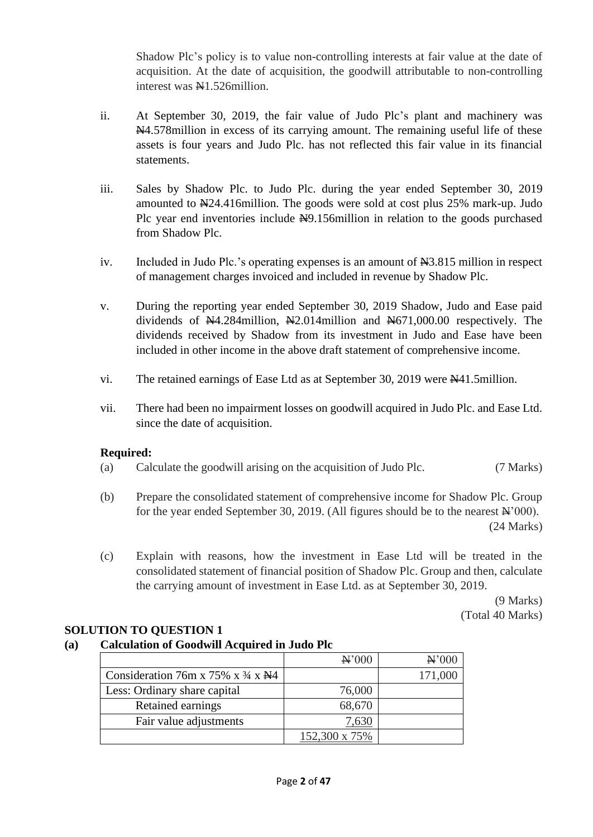Shadow Plc's policy is to value non-controlling interests at fair value at the date of acquisition. At the date of acquisition, the goodwill attributable to non-controlling interest was  $\mathbb{N}1.526$ million.

- ii. At September 30, 2019, the fair value of Judo Plc's plant and machinery was N4.578 million in excess of its carrying amount. The remaining useful life of these assets is four years and Judo Plc. has not reflected this fair value in its financial statements.
- iii. Sales by Shadow Plc. to Judo Plc. during the year ended September 30, 2019 amounted to  $\text{N24.416}$ million. The goods were sold at cost plus 25% mark-up. Judo Plc year end inventories include  $H9.156$ million in relation to the goods purchased from Shadow Plc.
- iv. Included in Judo Plc.'s operating expenses is an amount of  $\frac{1}{2}3.815$  million in respect of management charges invoiced and included in revenue by Shadow Plc.
- v. During the reporting year ended September 30, 2019 Shadow, Judo and Ease paid dividends of  $\mathbb{N}4.284$ million,  $\mathbb{N}2.014$ million and  $\mathbb{N}671,000.00$  respectively. The dividends received by Shadow from its investment in Judo and Ease have been included in other income in the above draft statement of comprehensive income.
- vi. The retained earnings of Ease Ltd as at September 30, 2019 were  $\mathbb{N}41.5$ million.
- vii. There had been no impairment losses on goodwill acquired in Judo Plc. and Ease Ltd. since the date of acquisition.

# **Required:**

- (a) Calculate the goodwill arising on the acquisition of Judo Plc. (7 Marks)
- (b) Prepare the consolidated statement of comprehensive income for Shadow Plc. Group for the year ended September 30, 2019. (All figures should be to the nearest  $\mathbb{A}^2$  000). (24 Marks)
- (c) Explain with reasons, how the investment in Ease Ltd will be treated in the consolidated statement of financial position of Shadow Plc. Group and then, calculate the carrying amount of investment in Ease Ltd. as at September 30, 2019.

(9 Marks) (Total 40 Marks)

# **SOLUTION TO QUESTION 1**

# **(a) Calculation of Goodwill Acquired in Judo Plc**

|                                                          | $\mathbf{H}^2000$ | $\mathbf{H}$ '000 |
|----------------------------------------------------------|-------------------|-------------------|
| Consideration 76m x 75% x $\frac{3}{4}$ x $\frac{11}{4}$ |                   | 171,000           |
| Less: Ordinary share capital                             | 76,000            |                   |
| Retained earnings                                        | 68,670            |                   |
| Fair value adjustments                                   | 7,630             |                   |
|                                                          | 152,300 x 75%     |                   |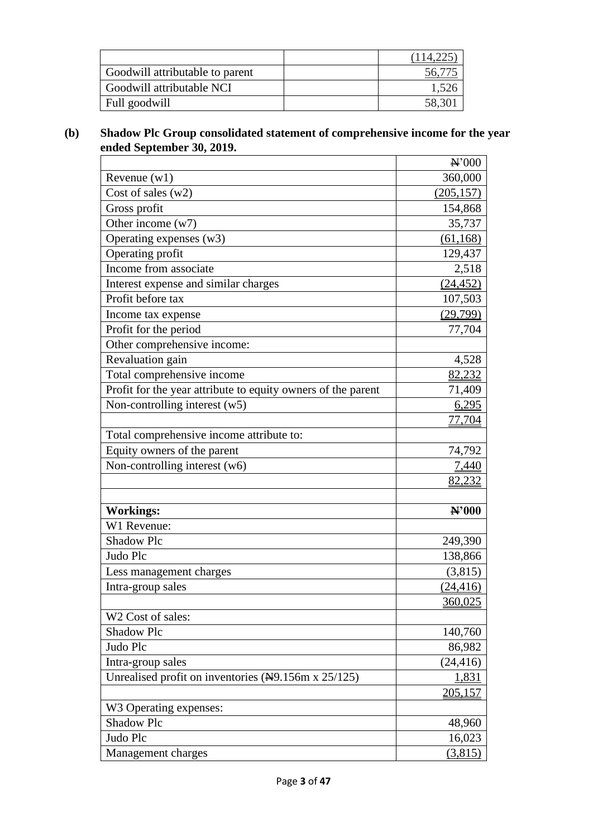| Goodwill attributable to parent |       |
|---------------------------------|-------|
| Goodwill attributable NCI       |       |
| Full goodwill                   | 58,30 |

## **(b) Shadow Plc Group consolidated statement of comprehensive income for the year ended September 30, 2019.**

|                                                                 | N'000          |
|-----------------------------------------------------------------|----------------|
| Revenue $(w1)$                                                  | 360,000        |
| Cost of sales $(w2)$                                            | (205, 157)     |
| Gross profit                                                    | 154,868        |
| Other income $(w7)$                                             | 35,737         |
| Operating expenses (w3)                                         | (61, 168)      |
| Operating profit                                                | 129,437        |
| Income from associate                                           | 2,518          |
| Interest expense and similar charges                            | (24, 452)      |
| Profit before tax                                               | 107,503        |
| Income tax expense                                              | (29,799)       |
| Profit for the period                                           | 77,704         |
| Other comprehensive income:                                     |                |
| Revaluation gain                                                | 4,528          |
| Total comprehensive income                                      | 82,232         |
| Profit for the year attribute to equity owners of the parent    | 71,409         |
| Non-controlling interest $(w5)$                                 | 6,295          |
|                                                                 | 77,704         |
| Total comprehensive income attribute to:                        |                |
| Equity owners of the parent                                     | 74,792         |
| Non-controlling interest (w6)                                   | 7,440          |
|                                                                 | 82,232         |
|                                                                 |                |
| <b>Workings:</b>                                                | N'000          |
| W1 Revenue:                                                     |                |
| <b>Shadow Plc</b>                                               | 249,390        |
| Judo Plc                                                        | 138,866        |
| Less management charges                                         | (3,815)        |
| Intra-group sales                                               | (24, 416)      |
|                                                                 | 360,025        |
| W2 Cost of sales:                                               |                |
| <b>Shadow Plc</b>                                               | 140,760        |
| Judo Plc                                                        | 86,982         |
| Intra-group sales                                               | (24, 416)      |
| Unrealised profit on inventories $(\frac{N}{9}$ .156m x 25/125) | 1,831          |
|                                                                 | <u>205,157</u> |
| W3 Operating expenses:                                          |                |
| Shadow Plc                                                      | 48,960         |
| Judo Plc                                                        | 16,023         |
| Management charges                                              | (3,815)        |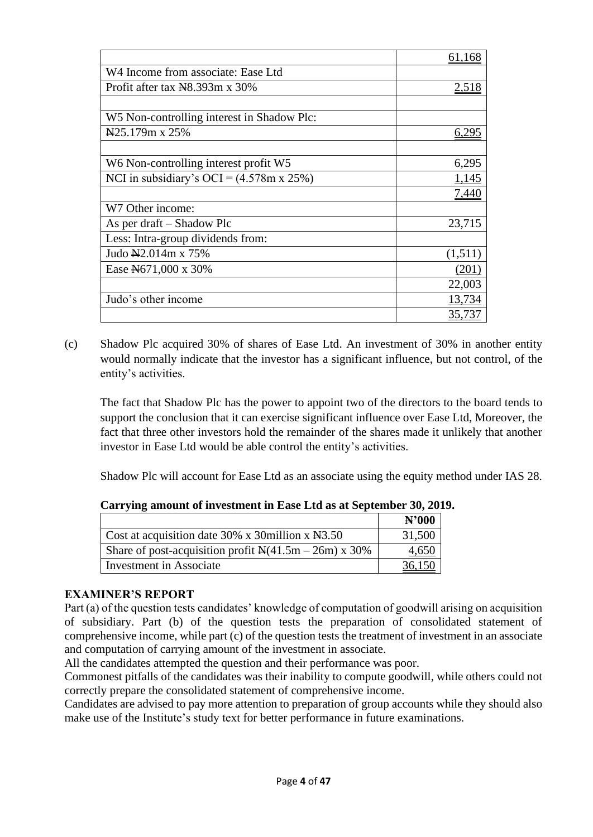|                                                    | 61.168       |
|----------------------------------------------------|--------------|
| W4 Income from associate: Ease Ltd                 |              |
| Profit after tax N8.393m x 30%                     | <u>2,518</u> |
|                                                    |              |
| W5 Non-controlling interest in Shadow Plc:         |              |
| $\frac{125.179m \times 25\%}{25.179m \times 25\%}$ | 6.295        |
|                                                    |              |
| W6 Non-controlling interest profit W5              | 6,295        |
| NCI in subsidiary's OCI = $(4.578m \times 25\%)$   | 1,145        |
|                                                    | 7,440        |
| W7 Other income:                                   |              |
| As per draft – Shadow Plc                          | 23,715       |
| Less: Intra-group dividends from:                  |              |
| Judo N2.014m x 75%                                 | (1,511)      |
| Ease N671,000 x 30%                                | (201)        |
|                                                    | 22,003       |
| Judo's other income                                | 13,734       |
|                                                    | 35.737       |

(c) Shadow Plc acquired 30% of shares of Ease Ltd. An investment of 30% in another entity would normally indicate that the investor has a significant influence, but not control, of the entity's activities.

The fact that Shadow Plc has the power to appoint two of the directors to the board tends to support the conclusion that it can exercise significant influence over Ease Ltd, Moreover, the fact that three other investors hold the remainder of the shares made it unlikely that another investor in Ease Ltd would be able control the entity's activities.

Shadow Plc will account for Ease Ltd as an associate using the equity method under IAS 28.

|                                                                                      | N'000  |
|--------------------------------------------------------------------------------------|--------|
| Cost at acquisition date 30% x 30 million x $\text{N}3.50$                           | 31,500 |
| Share of post-acquisition profit $\mathbb{N}(41.5\text{m} - 26\text{m}) \times 30\%$ | 4,650  |
| <b>Investment</b> in Associate                                                       |        |

# **Carrying amount of investment in Ease Ltd as at September 30, 2019.**

# **EXAMINER'S REPORT**

Part (a) of the question tests candidates' knowledge of computation of goodwill arising on acquisition of subsidiary. Part (b) of the question tests the preparation of consolidated statement of comprehensive income, while part (c) of the question tests the treatment of investment in an associate and computation of carrying amount of the investment in associate.

All the candidates attempted the question and their performance was poor.

Commonest pitfalls of the candidates was their inability to compute goodwill, while others could not correctly prepare the consolidated statement of comprehensive income.

Candidates are advised to pay more attention to preparation of group accounts while they should also make use of the Institute's study text for better performance in future examinations.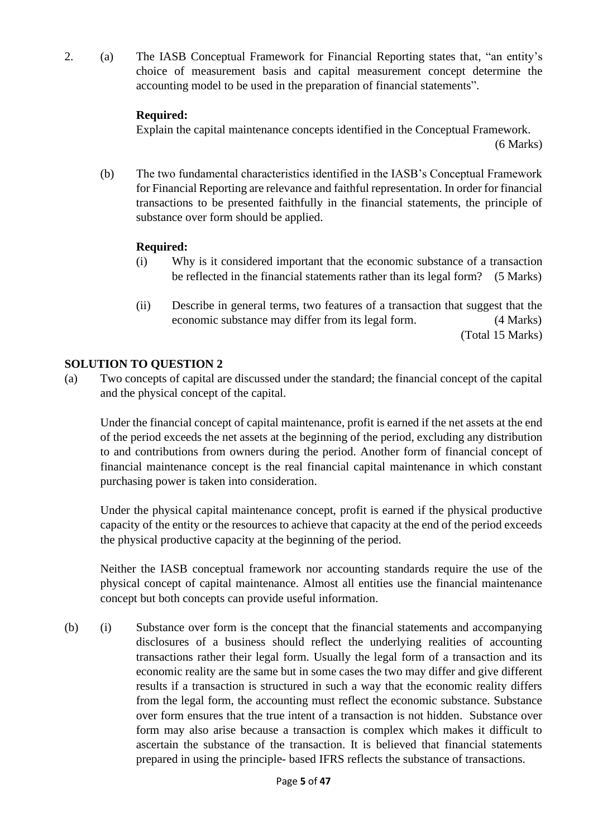2. (a) The IASB Conceptual Framework for Financial Reporting states that, "an entity's choice of measurement basis and capital measurement concept determine the accounting model to be used in the preparation of financial statements".

## **Required:**

Explain the capital maintenance concepts identified in the Conceptual Framework.

(6 Marks)

(b) The two fundamental characteristics identified in the IASB's Conceptual Framework for Financial Reporting are relevance and faithful representation. In order for financial transactions to be presented faithfully in the financial statements, the principle of substance over form should be applied.

#### **Required:**

- (i) Why is it considered important that the economic substance of a transaction be reflected in the financial statements rather than its legal form? (5 Marks)
- (ii) Describe in general terms, two features of a transaction that suggest that the economic substance may differ from its legal form. (4 Marks) (Total 15 Marks)

# **SOLUTION TO QUESTION 2**

(a) Two concepts of capital are discussed under the standard; the financial concept of the capital and the physical concept of the capital.

Under the financial concept of capital maintenance, profit is earned if the net assets at the end of the period exceeds the net assets at the beginning of the period, excluding any distribution to and contributions from owners during the period. Another form of financial concept of financial maintenance concept is the real financial capital maintenance in which constant purchasing power is taken into consideration.

Under the physical capital maintenance concept, profit is earned if the physical productive capacity of the entity or the resources to achieve that capacity at the end of the period exceeds the physical productive capacity at the beginning of the period.

Neither the IASB conceptual framework nor accounting standards require the use of the physical concept of capital maintenance. Almost all entities use the financial maintenance concept but both concepts can provide useful information.

(b) (i) Substance over form is the concept that the financial statements and accompanying disclosures of a business should reflect the underlying realities of accounting transactions rather their legal form. Usually the legal form of a transaction and its economic reality are the same but in some cases the two may differ and give different results if a transaction is structured in such a way that the economic reality differs from the legal form, the accounting must reflect the economic substance. Substance over form ensures that the true intent of a transaction is not hidden. Substance over form may also arise because a transaction is complex which makes it difficult to ascertain the substance of the transaction. It is believed that financial statements prepared in using the principle- based IFRS reflects the substance of transactions.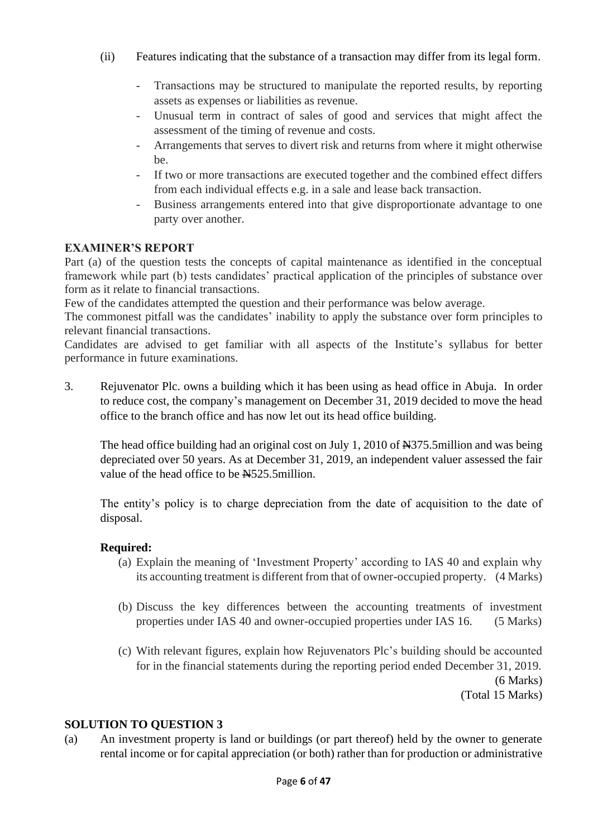- (ii) Features indicating that the substance of a transaction may differ from its legal form.
	- Transactions may be structured to manipulate the reported results, by reporting assets as expenses or liabilities as revenue.
	- Unusual term in contract of sales of good and services that might affect the assessment of the timing of revenue and costs.
	- Arrangements that serves to divert risk and returns from where it might otherwise be.
	- If two or more transactions are executed together and the combined effect differs from each individual effects e.g. in a sale and lease back transaction.
	- Business arrangements entered into that give disproportionate advantage to one party over another.

Part (a) of the question tests the concepts of capital maintenance as identified in the conceptual framework while part (b) tests candidates' practical application of the principles of substance over form as it relate to financial transactions.

Few of the candidates attempted the question and their performance was below average.

The commonest pitfall was the candidates' inability to apply the substance over form principles to relevant financial transactions.

Candidates are advised to get familiar with all aspects of the Institute's syllabus for better performance in future examinations.

3. Rejuvenator Plc. owns a building which it has been using as head office in Abuja. In order to reduce cost, the company's management on December 31, 2019 decided to move the head office to the branch office and has now let out its head office building.

The head office building had an original cost on July 1, 2010 of  $\frac{1275}{12010}$  and was being depreciated over 50 years. As at December 31, 2019, an independent valuer assessed the fair value of the head office to be  $\frac{N}{2}$ 525.5million.

The entity's policy is to charge depreciation from the date of acquisition to the date of disposal.

# **Required:**

- (a) Explain the meaning of 'Investment Property' according to IAS 40 and explain why its accounting treatment is different from that of owner-occupied property. (4 Marks)
- (b) Discuss the key differences between the accounting treatments of investment properties under IAS 40 and owner-occupied properties under IAS 16. (5 Marks)
- (c) With relevant figures, explain how Rejuvenators Plc's building should be accounted for in the financial statements during the reporting period ended December 31, 2019. (6 Marks) (Total 15 Marks)

#### **SOLUTION TO QUESTION 3**

(a) An investment property is land or buildings (or part thereof) held by the owner to generate rental income or for capital appreciation (or both) rather than for production or administrative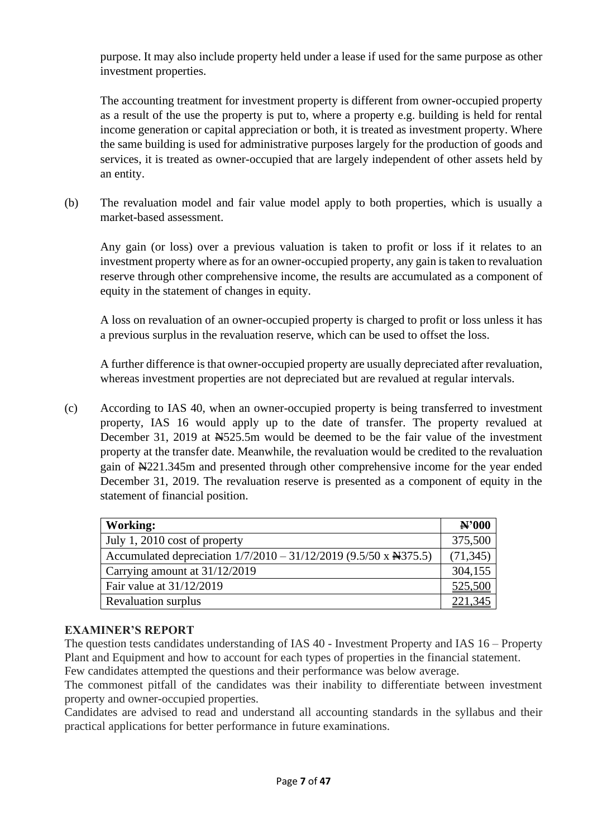purpose. It may also include property held under a lease if used for the same purpose as other investment properties.

The accounting treatment for investment property is different from owner-occupied property as a result of the use the property is put to, where a property e.g. building is held for rental income generation or capital appreciation or both, it is treated as investment property. Where the same building is used for administrative purposes largely for the production of goods and services, it is treated as owner-occupied that are largely independent of other assets held by an entity.

(b) The revaluation model and fair value model apply to both properties, which is usually a market-based assessment.

Any gain (or loss) over a previous valuation is taken to profit or loss if it relates to an investment property where as for an owner-occupied property, any gain is taken to revaluation reserve through other comprehensive income, the results are accumulated as a component of equity in the statement of changes in equity.

A loss on revaluation of an owner-occupied property is charged to profit or loss unless it has a previous surplus in the revaluation reserve, which can be used to offset the loss.

A further difference is that owner-occupied property are usually depreciated after revaluation, whereas investment properties are not depreciated but are revalued at regular intervals.

(c) According to IAS 40, when an owner-occupied property is being transferred to investment property, IAS 16 would apply up to the date of transfer. The property revalued at December 31, 2019 at  $\text{\textsterling}525.5m$  would be deemed to be the fair value of the investment property at the transfer date. Meanwhile, the revaluation would be credited to the revaluation gain of N221.345m and presented through other comprehensive income for the year ended December 31, 2019. The revaluation reserve is presented as a component of equity in the statement of financial position.

| Working:                                                         | N'000     |
|------------------------------------------------------------------|-----------|
| July 1, 2010 cost of property                                    | 375,500   |
| Accumulated depreciation 1/7/2010 - 31/12/2019 (9.5/50 x N375.5) | (71, 345) |
| Carrying amount at 31/12/2019                                    | 304,155   |
| Fair value at 31/12/2019                                         | 525,500   |
| <b>Revaluation surplus</b>                                       | 221,345   |

# **EXAMINER'S REPORT**

The question tests candidates understanding of IAS 40 - Investment Property and IAS 16 – Property Plant and Equipment and how to account for each types of properties in the financial statement.

Few candidates attempted the questions and their performance was below average.

The commonest pitfall of the candidates was their inability to differentiate between investment property and owner-occupied properties.

Candidates are advised to read and understand all accounting standards in the syllabus and their practical applications for better performance in future examinations.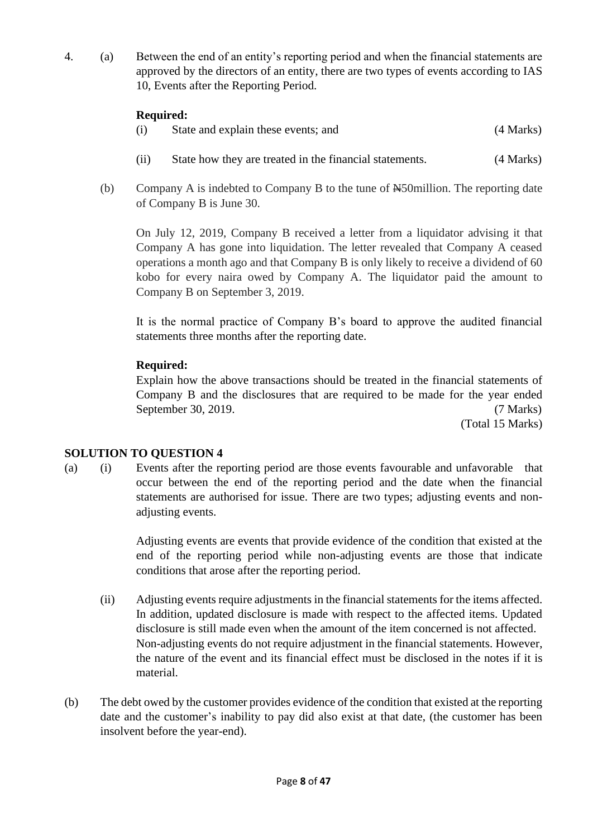4. (a) Between the end of an entity's reporting period and when the financial statements are approved by the directors of an entity, there are two types of events according to IAS 10, Events after the Reporting Period.

# **Required:**

| (i) | State and explain these events; and | (4 Marks) |
|-----|-------------------------------------|-----------|
|     |                                     |           |

- (ii) State how they are treated in the financial statements. (4 Marks)
- (b) Company A is indebted to Company B to the tune of N50million. The reporting date of Company B is June 30.

On July 12, 2019, Company B received a letter from a liquidator advising it that Company A has gone into liquidation. The letter revealed that Company A ceased operations a month ago and that Company B is only likely to receive a dividend of 60 kobo for every naira owed by Company A. The liquidator paid the amount to Company B on September 3, 2019.

It is the normal practice of Company B's board to approve the audited financial statements three months after the reporting date.

# **Required:**

Explain how the above transactions should be treated in the financial statements of Company B and the disclosures that are required to be made for the year ended September 30, 2019. (7 Marks)

(Total 15 Marks)

# **SOLUTION TO QUESTION 4**

(a) (i) Events after the reporting period are those events favourable and unfavorable that occur between the end of the reporting period and the date when the financial statements are authorised for issue. There are two types; adjusting events and nonadjusting events.

> Adjusting events are events that provide evidence of the condition that existed at the end of the reporting period while non-adjusting events are those that indicate conditions that arose after the reporting period.

- (ii) Adjusting events require adjustments in the financial statements for the items affected. In addition, updated disclosure is made with respect to the affected items. Updated disclosure is still made even when the amount of the item concerned is not affected. Non-adjusting events do not require adjustment in the financial statements. However, the nature of the event and its financial effect must be disclosed in the notes if it is material.
- (b) The debt owed by the customer provides evidence of the condition that existed at the reporting date and the customer's inability to pay did also exist at that date, (the customer has been insolvent before the year-end).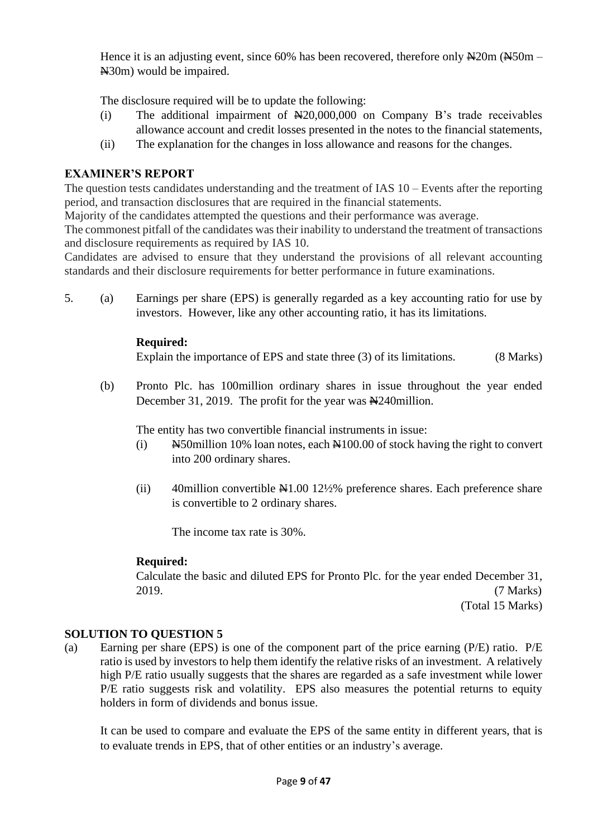Hence it is an adjusting event, since 60% has been recovered, therefore only  $\frac{N}{20m}$  ( $\frac{N}{20m}$  – N30m) would be impaired.

The disclosure required will be to update the following:

- (i) The additional impairment of N20,000,000 on Company B's trade receivables allowance account and credit losses presented in the notes to the financial statements,
- (ii) The explanation for the changes in loss allowance and reasons for the changes.

# **EXAMINER'S REPORT**

The question tests candidates understanding and the treatment of IAS 10 – Events after the reporting period, and transaction disclosures that are required in the financial statements.

Majority of the candidates attempted the questions and their performance was average.

The commonest pitfall of the candidates was their inability to understand the treatment of transactions and disclosure requirements as required by IAS 10.

Candidates are advised to ensure that they understand the provisions of all relevant accounting standards and their disclosure requirements for better performance in future examinations.

5. (a) Earnings per share (EPS) is generally regarded as a key accounting ratio for use by investors. However, like any other accounting ratio, it has its limitations.

#### **Required:**

Explain the importance of EPS and state three (3) of its limitations. (8 Marks)

(b) Pronto Plc. has 100million ordinary shares in issue throughout the year ended December 31, 2019. The profit for the year was  $\frac{N}{240}$ million.

The entity has two convertible financial instruments in issue:

- (i)  $N=50$ million 10% loan notes, each  $N=100.00$  of stock having the right to convert into 200 ordinary shares.
- (ii) 40million convertible  $\mathbb{N}1.00$  12½% preference shares. Each preference share is convertible to 2 ordinary shares.

The income tax rate is 30%.

# **Required:**

Calculate the basic and diluted EPS for Pronto Plc. for the year ended December 31, 2019. (7 Marks)

(Total 15 Marks)

# **SOLUTION TO QUESTION 5**

(a) Earning per share (EPS) is one of the component part of the price earning (P/E) ratio. P/E ratio is used by investors to help them identify the relative risks of an investment. A relatively high P/E ratio usually suggests that the shares are regarded as a safe investment while lower P/E ratio suggests risk and volatility. EPS also measures the potential returns to equity holders in form of dividends and bonus issue.

It can be used to compare and evaluate the EPS of the same entity in different years, that is to evaluate trends in EPS, that of other entities or an industry's average.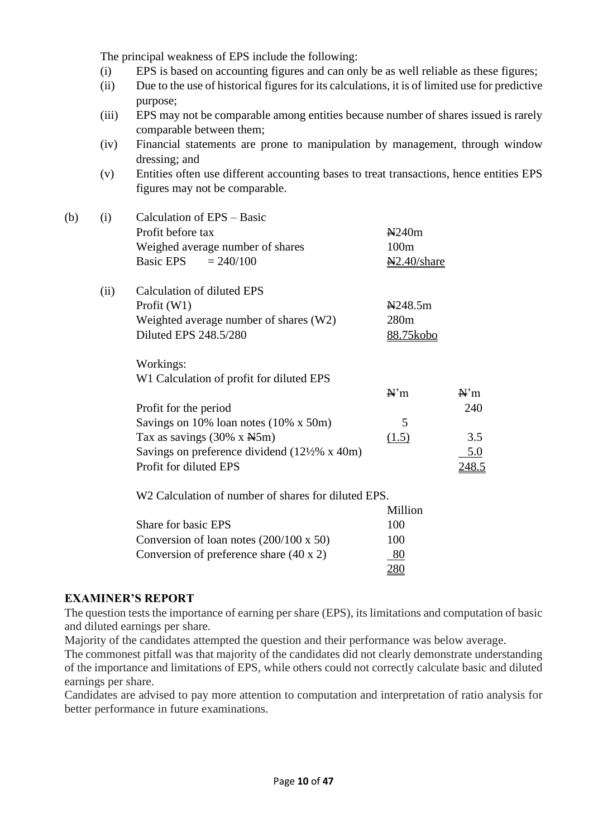The principal weakness of EPS include the following:

- (i) EPS is based on accounting figures and can only be as well reliable as these figures;
- (ii) Due to the use of historical figures for its calculations, it is of limited use for predictive purpose;
- (iii) EPS may not be comparable among entities because number of shares issued is rarely comparable between them;
- (iv) Financial statements are prone to manipulation by management, through window dressing; and
- (v) Entities often use different accounting bases to treat transactions, hence entities EPS figures may not be comparable.

| (b) | (i)  | Calculation of EPS – Basic                                           |                              |              |
|-----|------|----------------------------------------------------------------------|------------------------------|--------------|
|     |      | Profit before tax                                                    | N240m                        |              |
|     |      | Weighed average number of shares                                     | 100m                         |              |
|     |      | <b>Basic EPS</b><br>$= 240/100$                                      | $\frac{N2.40}{\text{share}}$ |              |
|     | (ii) | Calculation of diluted EPS                                           |                              |              |
|     |      | Profit $(W1)$                                                        | N248.5m                      |              |
|     |      | Weighted average number of shares (W2)                               | 280m                         |              |
|     |      | Diluted EPS 248.5/280                                                | <u>88.75kobo</u>             |              |
|     |      | Workings:                                                            |                              |              |
|     |      | W1 Calculation of profit for diluted EPS                             |                              |              |
|     |      |                                                                      | N'm                          | $N^m$        |
|     |      | Profit for the period                                                |                              | 240          |
|     |      | Savings on 10% loan notes (10% x 50m)                                | 5                            |              |
|     |      | Tax as savings $(30\% \times \text{N}5m)$                            | (1.5)                        | 3.5          |
|     |      | Savings on preference dividend $(12\frac{1}{2}\% \times 40\text{m})$ |                              | 5.0          |
|     |      | Profit for diluted EPS                                               |                              | <u>248.5</u> |
|     |      | W <sub>2</sub> Calculation of number of shares for diluted EPS.      |                              |              |
|     |      |                                                                      | Million                      |              |
|     |      | Share for basic EPS                                                  | 100                          |              |
|     |      | Conversion of loan notes $(200/100 \times 50)$                       | 100                          |              |
|     |      |                                                                      |                              |              |

# **EXAMINER'S REPORT**

The question tests the importance of earning per share (EPS), its limitations and computation of basic and diluted earnings per share.

280

Majority of the candidates attempted the question and their performance was below average.

Conversion of preference share  $(40 \times 2)$  80

The commonest pitfall was that majority of the candidates did not clearly demonstrate understanding of the importance and limitations of EPS, while others could not correctly calculate basic and diluted earnings per share.

Candidates are advised to pay more attention to computation and interpretation of ratio analysis for better performance in future examinations.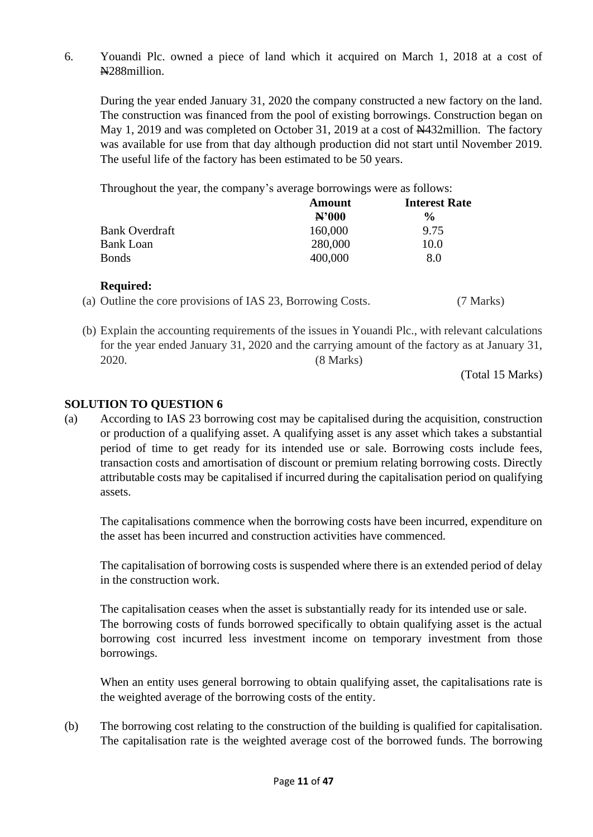6. Youandi Plc. owned a piece of land which it acquired on March 1, 2018 at a cost of N288million.

During the year ended January 31, 2020 the company constructed a new factory on the land. The construction was financed from the pool of existing borrowings. Construction began on May 1, 2019 and was completed on October 31, 2019 at a cost of  $\frac{1432}{100}$  million. The factory was available for use from that day although production did not start until November 2019. The useful life of the factory has been estimated to be 50 years.

Throughout the year, the company's average borrowings were as follows:

|                       | Amount  | <b>Interest Rate</b> |  |
|-----------------------|---------|----------------------|--|
|                       | N'000   | $\frac{6}{9}$        |  |
| <b>Bank Overdraft</b> | 160,000 | 9.75                 |  |
| <b>Bank Loan</b>      | 280,000 | 10.0                 |  |
| <b>Bonds</b>          | 400,000 | 8.0                  |  |

# **Required:**

(b) Explain the accounting requirements of the issues in Youandi Plc., with relevant calculations for the year ended January 31, 2020 and the carrying amount of the factory as at January 31, 2020. (8 Marks)

(Total 15 Marks)

# **SOLUTION TO QUESTION 6**

(a) According to IAS 23 borrowing cost may be capitalised during the acquisition, construction or production of a qualifying asset. A qualifying asset is any asset which takes a substantial period of time to get ready for its intended use or sale. Borrowing costs include fees, transaction costs and amortisation of discount or premium relating borrowing costs. Directly attributable costs may be capitalised if incurred during the capitalisation period on qualifying assets.

The capitalisations commence when the borrowing costs have been incurred, expenditure on the asset has been incurred and construction activities have commenced.

The capitalisation of borrowing costs is suspended where there is an extended period of delay in the construction work.

The capitalisation ceases when the asset is substantially ready for its intended use or sale. The borrowing costs of funds borrowed specifically to obtain qualifying asset is the actual borrowing cost incurred less investment income on temporary investment from those borrowings.

When an entity uses general borrowing to obtain qualifying asset, the capitalisations rate is the weighted average of the borrowing costs of the entity.

(b) The borrowing cost relating to the construction of the building is qualified for capitalisation. The capitalisation rate is the weighted average cost of the borrowed funds. The borrowing

<sup>(</sup>a) Outline the core provisions of IAS 23, Borrowing Costs. (7 Marks)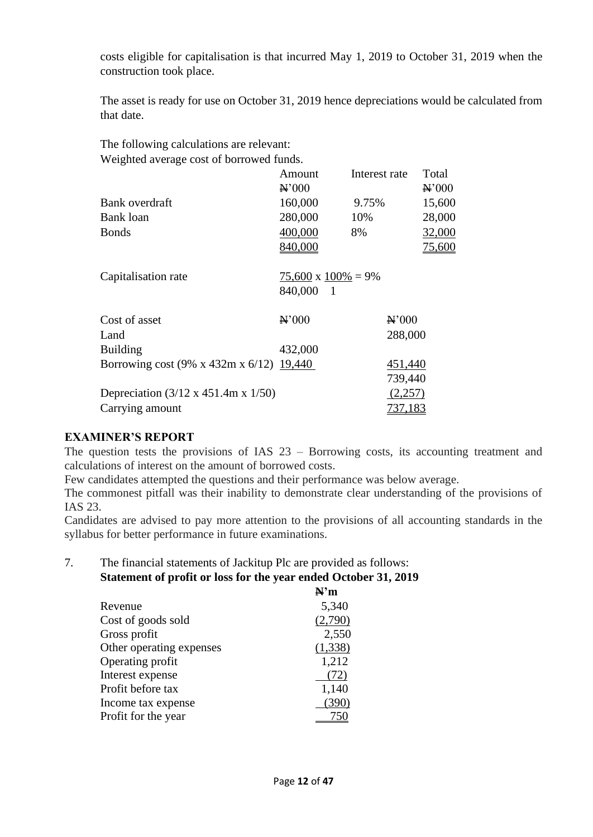costs eligible for capitalisation is that incurred May 1, 2019 to October 31, 2019 when the construction took place.

The asset is ready for use on October 31, 2019 hence depreciations would be calculated from that date.

The following calculations are relevant: Weighted average cost of borrowed funds.

|                                                         | Amount<br>$\mathbf{N}$ <sup>2</sup> 000 | Interest rate     | Total<br>$\mathbf{H}$ <sup>2</sup> 000 |
|---------------------------------------------------------|-----------------------------------------|-------------------|----------------------------------------|
| Bank overdraft                                          | 160,000                                 | 9.75%             | 15,600                                 |
| Bank loan                                               | 280,000                                 | 10%               | 28,000                                 |
| <b>Bonds</b>                                            | 400,000                                 | 8%                | 32,000                                 |
|                                                         | 840,000                                 |                   | 75,600                                 |
|                                                         |                                         |                   |                                        |
| Capitalisation rate                                     | $75,600 \times 100\% = 9\%$             |                   |                                        |
|                                                         | 840,000<br>- 1                          |                   |                                        |
| Cost of asset                                           | $\mathbf{H}$ '000                       | $\mathbf{H}$ '000 |                                        |
| Land                                                    |                                         | 288,000           |                                        |
| <b>Building</b>                                         | 432,000                                 |                   |                                        |
| Borrowing cost (9% x 432m x 6/12) 19,440                |                                         | 451,440           |                                        |
|                                                         |                                         | 739,440           |                                        |
| Depreciation $(3/12 \times 451.4 \text{m} \times 1/50)$ |                                         | (2,257)           |                                        |
| Carrying amount                                         |                                         | <u>737,183</u>    |                                        |

# **EXAMINER'S REPORT**

The question tests the provisions of IAS 23 – Borrowing costs, its accounting treatment and calculations of interest on the amount of borrowed costs.

Few candidates attempted the questions and their performance was below average.

The commonest pitfall was their inability to demonstrate clear understanding of the provisions of IAS 23.

Candidates are advised to pay more attention to the provisions of all accounting standards in the syllabus for better performance in future examinations.

# 7. The financial statements of Jackitup Plc are provided as follows: **Statement of profit or loss for the year ended October 31, 2019**

|                          | N'm     |
|--------------------------|---------|
| Revenue                  | 5,340   |
| Cost of goods sold       | (2,790) |
| Gross profit             | 2,550   |
| Other operating expenses | (1,338) |
| Operating profit         | 1,212   |
| Interest expense         | (72)    |
| Profit before tax        | 1,140   |
| Income tax expense       | (390)   |
| Profit for the year      |         |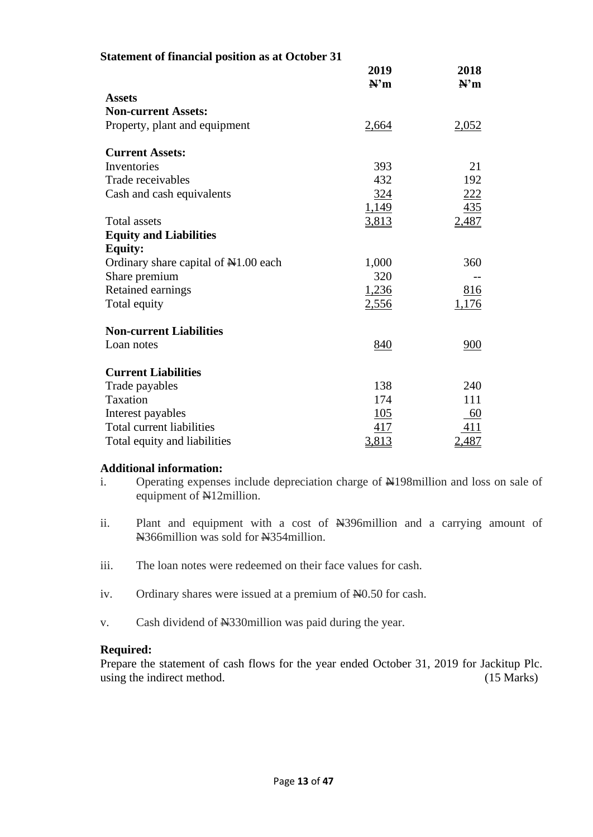| <b>Statement of financial position as at October 31</b> |             |              |
|---------------------------------------------------------|-------------|--------------|
|                                                         | 2019<br>N'm | 2018<br>N'm  |
| <b>Assets</b>                                           |             |              |
| <b>Non-current Assets:</b>                              |             |              |
| Property, plant and equipment                           | 2,664       | 2,052        |
| <b>Current Assets:</b>                                  |             |              |
| Inventories                                             | 393         | 21           |
| Trade receivables                                       | 432         | 192          |
| Cash and cash equivalents                               | <u>324</u>  | <u> 222 </u> |
|                                                         | 1,149       | 435          |
| <b>Total assets</b>                                     | 3,813       | 2,487        |
| <b>Equity and Liabilities</b>                           |             |              |
| <b>Equity:</b>                                          |             |              |
| Ordinary share capital of $\mathbb{N}1.00$ each         | 1,000       | 360          |
| Share premium                                           | 320         |              |
| Retained earnings                                       | 1,236       | 816          |
| Total equity                                            | 2,556       | 1,176        |
| <b>Non-current Liabilities</b>                          |             |              |
| Loan notes                                              | 840         | 900          |
| <b>Current Liabilities</b>                              |             |              |
| Trade payables                                          | 138         | 240          |
| <b>Taxation</b>                                         | 174         | 111          |
| Interest payables                                       | 105         | 60           |
| <b>Total current liabilities</b>                        | 417         | 411          |
| Total equity and liabilities                            | 3,813       | 2,487        |

#### **Additional information:**

- i. Operating expenses include depreciation charge of  $\frac{N}{2}198$ million and loss on sale of equipment of N12million.
- ii. Plant and equipment with a cost of N4396million and a carrying amount of N366million was sold for N354million.
- iii. The loan notes were redeemed on their face values for cash.
- iv. Ordinary shares were issued at a premium of  $N=0.50$  for cash.
- v. Cash dividend of N<sub>330</sub>million was paid during the year.

#### **Required:**

Prepare the statement of cash flows for the year ended October 31, 2019 for Jackitup Plc. using the indirect method. (15 Marks)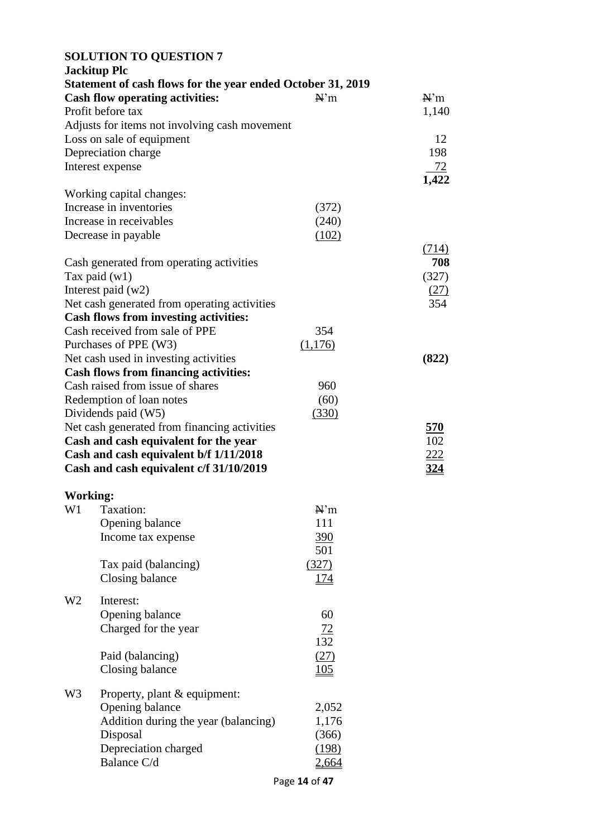#### **SOLUTION TO QUESTION 7**

|                 | <b>Jackitup Plc</b>                                                                                   |                |            |
|-----------------|-------------------------------------------------------------------------------------------------------|----------------|------------|
|                 | Statement of cash flows for the year ended October 31, 2019<br><b>Cash flow operating activities:</b> | $\mathbb{N}^m$ | N'm        |
|                 | Profit before tax                                                                                     |                | 1,140      |
|                 | Adjusts for items not involving cash movement                                                         |                |            |
|                 | Loss on sale of equipment                                                                             |                | 12         |
|                 | Depreciation charge                                                                                   |                | 198        |
|                 | Interest expense                                                                                      |                | 72         |
|                 |                                                                                                       |                | 1,422      |
|                 | Working capital changes:                                                                              |                |            |
|                 | Increase in inventories                                                                               | (372)          |            |
|                 | Increase in receivables                                                                               | (240)          |            |
|                 | Decrease in payable                                                                                   | (102)          |            |
|                 |                                                                                                       |                | (714)      |
|                 | Cash generated from operating activities                                                              |                | 708        |
|                 | Tax paid $(w1)$                                                                                       |                | (327)      |
|                 | Interest paid $(w2)$                                                                                  |                | (27)       |
|                 | Net cash generated from operating activities                                                          |                | 354        |
|                 | <b>Cash flows from investing activities:</b>                                                          |                |            |
|                 | Cash received from sale of PPE                                                                        | 354            |            |
|                 | Purchases of PPE (W3)                                                                                 | (1,176)        |            |
|                 | Net cash used in investing activities                                                                 |                | (822)      |
|                 | <b>Cash flows from financing activities:</b>                                                          |                |            |
|                 | Cash raised from issue of shares                                                                      | 960            |            |
|                 | Redemption of loan notes                                                                              | (60)           |            |
|                 | Dividends paid (W5)                                                                                   | (330)          |            |
|                 | Net cash generated from financing activities                                                          |                | <u>570</u> |
|                 | Cash and cash equivalent for the year                                                                 |                | 102        |
|                 | Cash and cash equivalent b/f 1/11/2018                                                                |                | <u>222</u> |
|                 | Cash and cash equivalent c/f 31/10/2019                                                               |                | 324        |
| <b>Working:</b> |                                                                                                       |                |            |
| W1              | Taxation:                                                                                             | N'm            |            |
|                 | Opening balance                                                                                       | 111            |            |
|                 | Income tax expense                                                                                    | 390            |            |
|                 |                                                                                                       | 501            |            |
|                 | Tax paid (balancing)                                                                                  | (327)          |            |
|                 | Closing balance                                                                                       | <u>174</u>     |            |
|                 |                                                                                                       |                |            |
| W2              | Interest:                                                                                             |                |            |
|                 | Opening balance                                                                                       | 60             |            |
|                 | Charged for the year                                                                                  | <u>72</u>      |            |
|                 |                                                                                                       | 132            |            |
|                 | Paid (balancing)                                                                                      | (27)           |            |
|                 | Closing balance                                                                                       | <u> 105</u>    |            |
|                 |                                                                                                       |                |            |
| W3              | Property, plant & equipment:                                                                          |                |            |
|                 | Opening balance                                                                                       | 2,052          |            |
|                 | Addition during the year (balancing)                                                                  | 1,176          |            |
|                 | Disposal                                                                                              | (366)          |            |
|                 | Depreciation charged                                                                                  | (198)          |            |
|                 | Balance C/d                                                                                           | 2,664          |            |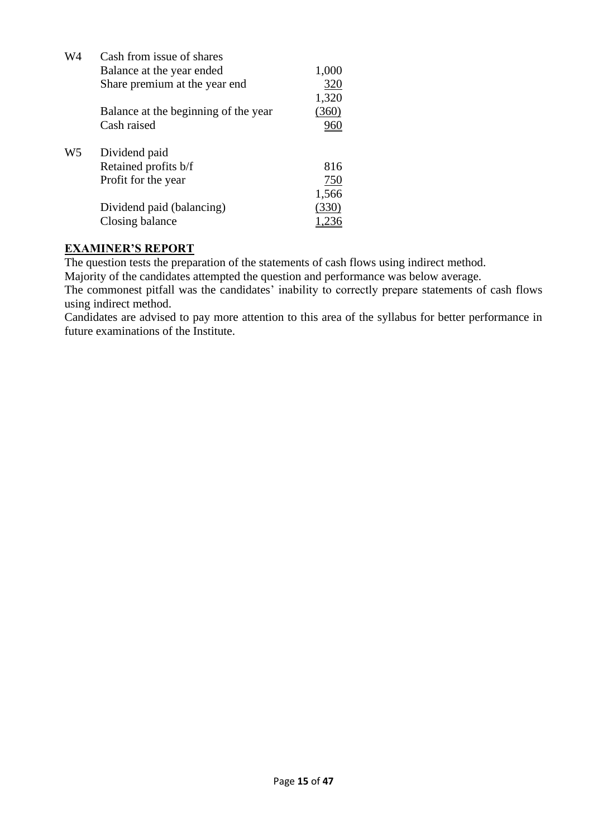| W4             | Cash from issue of shares            |            |
|----------------|--------------------------------------|------------|
|                | Balance at the year ended            | 1,000      |
|                | Share premium at the year end        | 320        |
|                |                                      | 1,320      |
|                | Balance at the beginning of the year | (360)      |
|                | Cash raised                          |            |
| W <sub>5</sub> | Dividend paid                        |            |
|                | Retained profits b/f                 | 816        |
|                | Profit for the year                  | <u>750</u> |
|                |                                      | 1,566      |
|                | Dividend paid (balancing)            | (330)      |
|                | Closing balance                      |            |

The question tests the preparation of the statements of cash flows using indirect method.

Majority of the candidates attempted the question and performance was below average.

The commonest pitfall was the candidates' inability to correctly prepare statements of cash flows using indirect method.

Candidates are advised to pay more attention to this area of the syllabus for better performance in future examinations of the Institute.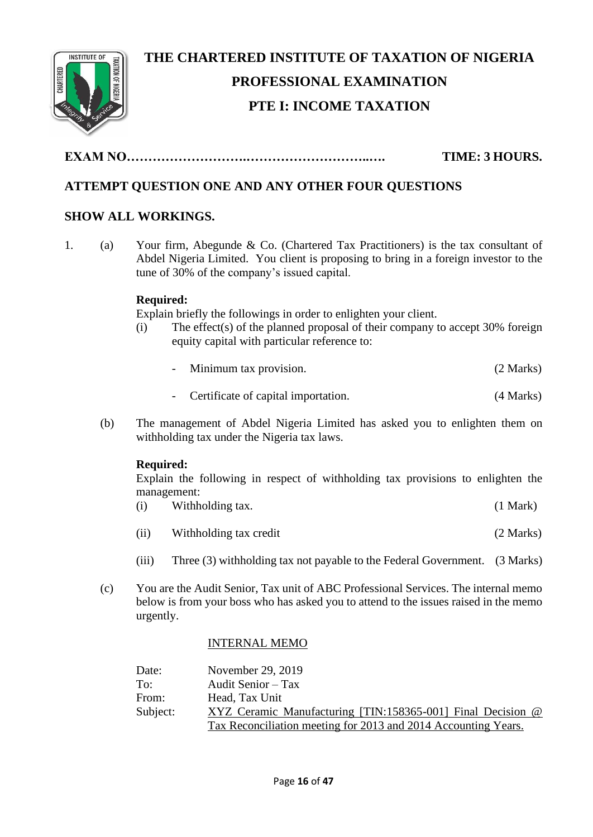

# **THE CHARTERED INSTITUTE OF TAXATION OF NIGERIA PROFESSIONAL EXAMINATION PTE I: INCOME TAXATION**

**EXAM NO……………………….………………………..…. TIME: 3 HOURS.**

# **ATTEMPT QUESTION ONE AND ANY OTHER FOUR QUESTIONS**

# **SHOW ALL WORKINGS.**

1. (a) Your firm, Abegunde & Co. (Chartered Tax Practitioners) is the tax consultant of Abdel Nigeria Limited. You client is proposing to bring in a foreign investor to the tune of 30% of the company's issued capital.

# **Required:**

Explain briefly the followings in order to enlighten your client.

- (i) The effect(s) of the planned proposal of their company to accept 30% foreign equity capital with particular reference to:
	- Minimum tax provision. (2 Marks)
	- Certificate of capital importation. (4 Marks)
- (b) The management of Abdel Nigeria Limited has asked you to enlighten them on withholding tax under the Nigeria tax laws.

# **Required:**

Explain the following in respect of withholding tax provisions to enlighten the management:

- (i) Withholding tax. (1 Mark)
- (ii) Withholding tax credit (2 Marks)
- (iii) Three (3) withholding tax not payable to the Federal Government. (3 Marks)
- (c) You are the Audit Senior, Tax unit of ABC Professional Services. The internal memo below is from your boss who has asked you to attend to the issues raised in the memo urgently.

# INTERNAL MEMO

| Date:    | November 29, 2019                                              |
|----------|----------------------------------------------------------------|
| To:      | Audit Senior – Tax                                             |
| From:    | Head, Tax Unit                                                 |
| Subject: | XYZ Ceramic Manufacturing [TIN:158365-001] Final Decision @    |
|          | Tax Reconciliation meeting for 2013 and 2014 Accounting Years. |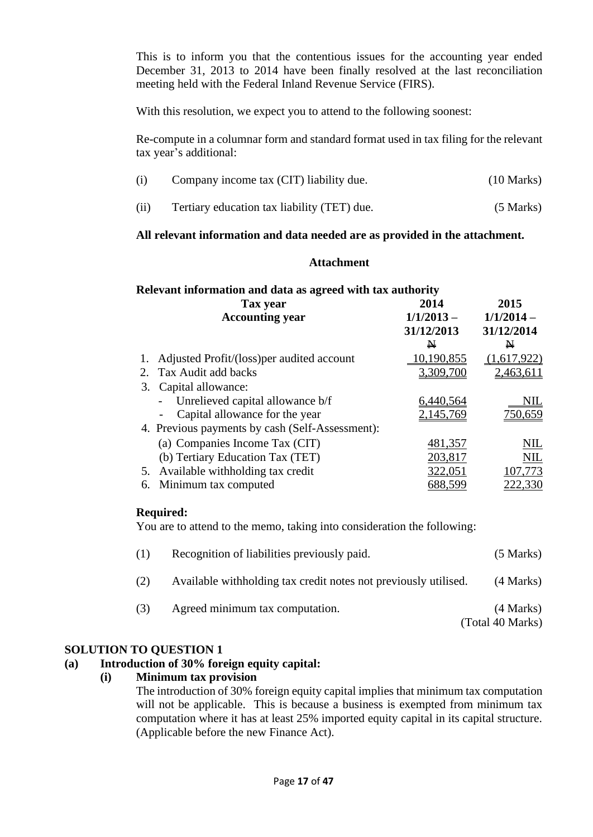This is to inform you that the contentious issues for the accounting year ended December 31, 2013 to 2014 have been finally resolved at the last reconciliation meeting held with the Federal Inland Revenue Service (FIRS).

With this resolution, we expect you to attend to the following soonest:

Re-compute in a columnar form and standard format used in tax filing for the relevant tax year's additional:

| (i)  | Company income tax (CIT) liability due.     | $(10 \text{ Marks})$ |
|------|---------------------------------------------|----------------------|
| (ii) | Tertiary education tax liability (TET) due. | $(5$ Marks)          |

#### **All relevant information and data needed are as provided in the attachment.**

#### **Attachment**

#### **Relevant information and data as agreed with tax authority Tax year 2014 2015**

| <b>Accounting year</b>                          | $1/1/2013 -$<br>31/12/2013 | $1/1/2014 -$<br>31/12/2014 |
|-------------------------------------------------|----------------------------|----------------------------|
|                                                 | N                          | N                          |
| Adjusted Profit/(loss) per audited account      | 10,190,855                 | (1,617,922)                |
| Tax Audit add backs<br>2.                       | 3,309,700                  | 2,463,611                  |
| Capital allowance:<br>3.                        |                            |                            |
| Unrelieved capital allowance b/f                | <u>6,440,564</u>           | NIL                        |
| Capital allowance for the year                  | 2,145,769                  | 750,659                    |
| 4. Previous payments by cash (Self-Assessment): |                            |                            |
| (a) Companies Income Tax (CIT)                  | 481,357                    | NIL                        |
| (b) Tertiary Education Tax (TET)                | 203,817                    | <b>NIL</b>                 |
| 5. Available withholding tax credit             | 322,051                    | 107,773                    |
| 6. Minimum tax computed                         | 688,599                    | 222,330                    |

#### **Required:**

You are to attend to the memo, taking into consideration the following:

| (1) | Recognition of liabilities previously paid.                      | $(5$ Marks)                   |
|-----|------------------------------------------------------------------|-------------------------------|
| (2) | Available with holding tax credit notes not previously utilised. | $(4$ Marks)                   |
| (3) | Agreed minimum tax computation.                                  | (4 Marks)<br>(Total 40 Marks) |

# **SOLUTION TO QUESTION 1**

# **(a) Introduction of 30% foreign equity capital:**

# **(i) Minimum tax provision**

The introduction of 30% foreign equity capital implies that minimum tax computation will not be applicable. This is because a business is exempted from minimum tax computation where it has at least 25% imported equity capital in its capital structure. (Applicable before the new Finance Act).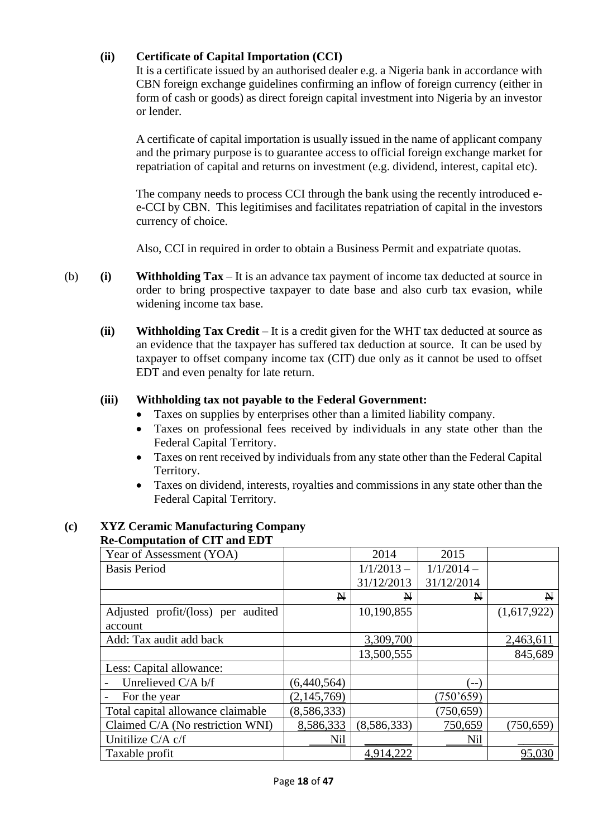# **(ii) Certificate of Capital Importation (CCI)**

It is a certificate issued by an authorised dealer e.g. a Nigeria bank in accordance with CBN foreign exchange guidelines confirming an inflow of foreign currency (either in form of cash or goods) as direct foreign capital investment into Nigeria by an investor or lender.

A certificate of capital importation is usually issued in the name of applicant company and the primary purpose is to guarantee access to official foreign exchange market for repatriation of capital and returns on investment (e.g. dividend, interest, capital etc).

The company needs to process CCI through the bank using the recently introduced ee-CCI by CBN. This legitimises and facilitates repatriation of capital in the investors currency of choice.

Also, CCI in required in order to obtain a Business Permit and expatriate quotas.

- (b) **(i) Withholding Tax**  It is an advance tax payment of income tax deducted at source in order to bring prospective taxpayer to date base and also curb tax evasion, while widening income tax base.
	- **(ii) Withholding Tax Credit** It is a credit given for the WHT tax deducted at source as an evidence that the taxpayer has suffered tax deduction at source. It can be used by taxpayer to offset company income tax (CIT) due only as it cannot be used to offset EDT and even penalty for late return.

# **(iii) Withholding tax not payable to the Federal Government:**

- Taxes on supplies by enterprises other than a limited liability company.
- Taxes on professional fees received by individuals in any state other than the Federal Capital Territory.
- Taxes on rent received by individuals from any state other than the Federal Capital Territory.
- Taxes on dividend, interests, royalties and commissions in any state other than the Federal Capital Territory.

#### **(c) XYZ Ceramic Manufacturing Company Re-Computation of CIT and EDT**

| Year of Assessment (YOA)           |              | 2014         | 2015         |              |
|------------------------------------|--------------|--------------|--------------|--------------|
| <b>Basis Period</b>                |              | $1/1/2013 -$ | $1/1/2014 -$ |              |
|                                    |              | 31/12/2013   | 31/12/2014   |              |
|                                    | $\mathbf{N}$ | N            | $\mathbb N$  | $\mathbf{N}$ |
| Adjusted profit/(loss) per audited |              | 10,190,855   |              | (1,617,922)  |
| account                            |              |              |              |              |
| Add: Tax audit add back            |              | 3,309,700    |              | 2,463,611    |
|                                    |              | 13,500,555   |              | 845,689      |
| Less: Capital allowance:           |              |              |              |              |
| Unrelieved C/A b/f                 | (6,440,564)  |              | ์ -- )       |              |
| For the year                       | (2,145,769)  |              | (750, 659)   |              |
| Total capital allowance claimable  | (8,586,333)  |              | (750, 659)   |              |
| Claimed C/A (No restriction WNI)   | 8,586,333    | (8,586,333)  | 750,659      | (750, 659)   |
| Unitilize C/A c/f                  | Nil          |              | Nil          |              |
| Taxable profit                     |              | 4,914,222    |              | 95,030       |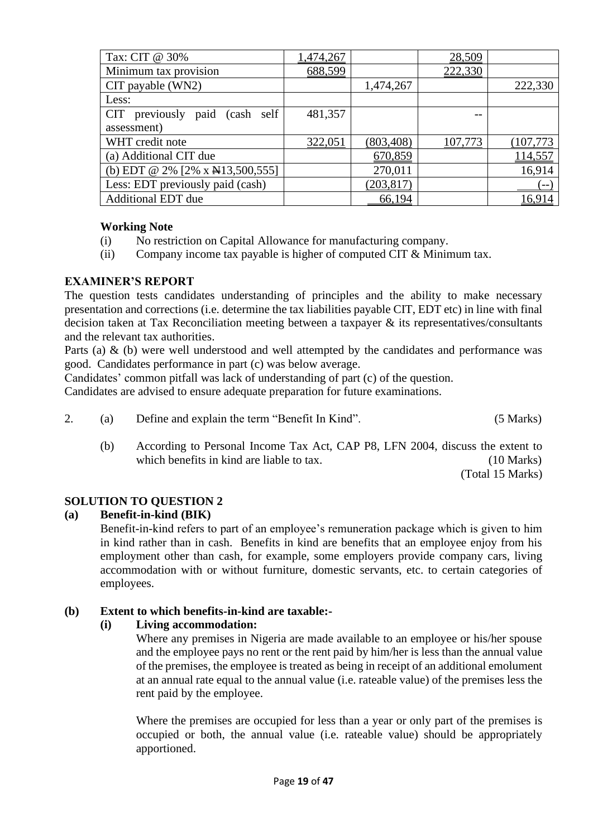| Tax: CIT @ 30%                           | 1,474,267 |            | 28,509  |           |
|------------------------------------------|-----------|------------|---------|-----------|
| Minimum tax provision                    | 688,599   |            | 222,330 |           |
| CIT payable (WN2)                        |           | 1,474,267  |         | 222,330   |
| Less:                                    |           |            |         |           |
| previously paid (cash self<br><b>CIT</b> | 481,357   |            |         |           |
| assessment)                              |           |            |         |           |
| WHT credit note                          | 322,051   | (803, 408) | 107,773 | (107,773) |
| (a) Additional CIT due                   |           | 670,859    |         | 114,557   |
| (b) EDT @ 2% [2% x $\angle$ 13,500,555]  |           | 270,011    |         | 16,914    |
| Less: EDT previously paid (cash)         |           | (203, 817) |         | $--$      |
| <b>Additional EDT due</b>                |           | 66,194     |         | 16,914    |

# **Working Note**

- (i) No restriction on Capital Allowance for manufacturing company.
- (ii) Company income tax payable is higher of computed CIT  $&$  Minimum tax.

#### **EXAMINER'S REPORT**

The question tests candidates understanding of principles and the ability to make necessary presentation and corrections (i.e. determine the tax liabilities payable CIT, EDT etc) in line with final decision taken at Tax Reconciliation meeting between a taxpayer & its representatives/consultants and the relevant tax authorities.

Parts (a) & (b) were well understood and well attempted by the candidates and performance was good. Candidates performance in part (c) was below average.

Candidates' common pitfall was lack of understanding of part (c) of the question.

Candidates are advised to ensure adequate preparation for future examinations.

- 2. (a) Define and explain the term "Benefit In Kind". (5 Marks)
	- (b) According to Personal Income Tax Act, CAP P8, LFN 2004, discuss the extent to which benefits in kind are liable to tax. (10 Marks)

(Total 15 Marks)

# **SOLUTION TO QUESTION 2**

#### **(a) Benefit-in-kind (BIK)**

Benefit-in-kind refers to part of an employee's remuneration package which is given to him in kind rather than in cash. Benefits in kind are benefits that an employee enjoy from his employment other than cash, for example, some employers provide company cars, living accommodation with or without furniture, domestic servants, etc. to certain categories of employees.

#### **(b) Extent to which benefits-in-kind are taxable:-**

#### **(i) Living accommodation:**

Where any premises in Nigeria are made available to an employee or his/her spouse and the employee pays no rent or the rent paid by him/her is less than the annual value of the premises, the employee is treated as being in receipt of an additional emolument at an annual rate equal to the annual value (i.e. rateable value) of the premises less the rent paid by the employee.

Where the premises are occupied for less than a year or only part of the premises is occupied or both, the annual value (i.e. rateable value) should be appropriately apportioned.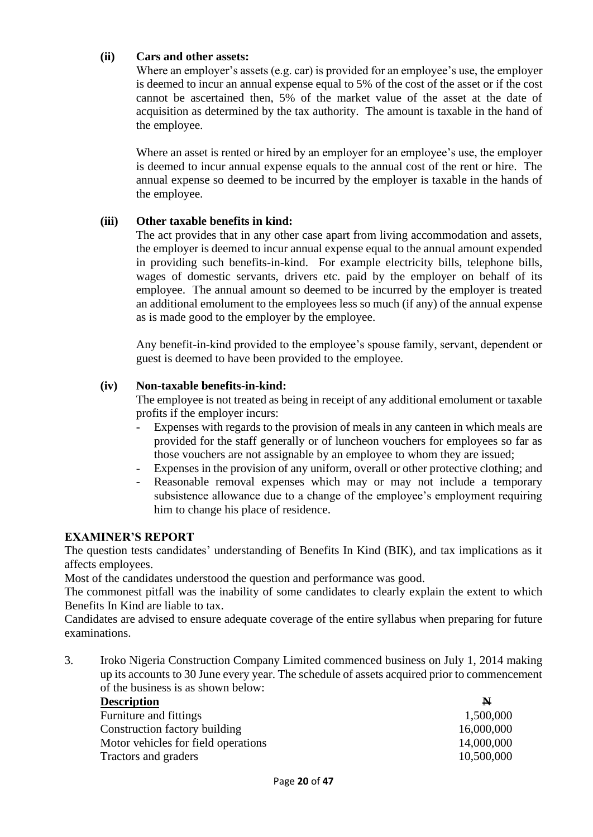## **(ii) Cars and other assets:**

Where an employer's assets (e.g. car) is provided for an employee's use, the employer is deemed to incur an annual expense equal to 5% of the cost of the asset or if the cost cannot be ascertained then, 5% of the market value of the asset at the date of acquisition as determined by the tax authority. The amount is taxable in the hand of the employee.

Where an asset is rented or hired by an employer for an employee's use, the employer is deemed to incur annual expense equals to the annual cost of the rent or hire. The annual expense so deemed to be incurred by the employer is taxable in the hands of the employee.

#### **(iii) Other taxable benefits in kind:**

The act provides that in any other case apart from living accommodation and assets, the employer is deemed to incur annual expense equal to the annual amount expended in providing such benefits-in-kind. For example electricity bills, telephone bills, wages of domestic servants, drivers etc. paid by the employer on behalf of its employee. The annual amount so deemed to be incurred by the employer is treated an additional emolument to the employees less so much (if any) of the annual expense as is made good to the employer by the employee.

Any benefit-in-kind provided to the employee's spouse family, servant, dependent or guest is deemed to have been provided to the employee.

#### **(iv) Non-taxable benefits-in-kind:**

The employee is not treated as being in receipt of any additional emolument or taxable profits if the employer incurs:

- Expenses with regards to the provision of meals in any canteen in which meals are provided for the staff generally or of luncheon vouchers for employees so far as those vouchers are not assignable by an employee to whom they are issued;
- Expenses in the provision of any uniform, overall or other protective clothing; and
- Reasonable removal expenses which may or may not include a temporary subsistence allowance due to a change of the employee's employment requiring him to change his place of residence.

#### **EXAMINER'S REPORT**

The question tests candidates' understanding of Benefits In Kind (BIK), and tax implications as it affects employees.

Most of the candidates understood the question and performance was good.

The commonest pitfall was the inability of some candidates to clearly explain the extent to which Benefits In Kind are liable to tax.

Candidates are advised to ensure adequate coverage of the entire syllabus when preparing for future examinations.

3. Iroko Nigeria Construction Company Limited commenced business on July 1, 2014 making up its accounts to 30 June every year. The schedule of assets acquired prior to commencement of the business is as shown below:

| <b>Description</b>                  | N          |
|-------------------------------------|------------|
| Furniture and fittings              | 1,500,000  |
| Construction factory building       | 16,000,000 |
| Motor vehicles for field operations | 14,000,000 |
| Tractors and graders                | 10,500,000 |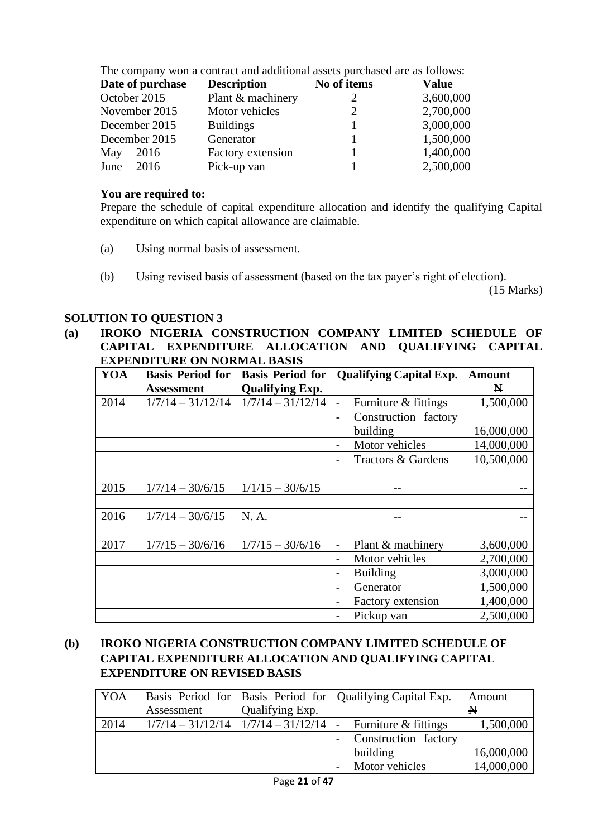| The company won a contract and additional assets purchased are as follows: |                  |                    |             |           |  |
|----------------------------------------------------------------------------|------------------|--------------------|-------------|-----------|--|
|                                                                            | Date of purchase | <b>Description</b> | No of items | Value     |  |
| October 2015                                                               |                  | Plant & machinery  |             | 3,600,000 |  |
|                                                                            | November 2015    | Motor vehicles     |             | 2,700,000 |  |
|                                                                            | December 2015    | <b>Buildings</b>   |             | 3,000,000 |  |
|                                                                            | December 2015    | Generator          |             | 1,500,000 |  |
| May                                                                        | 2016             | Factory extension  |             | 1,400,000 |  |
| June                                                                       | 2016             | Pick-up van        |             | 2,500,000 |  |

### **You are required to:**

Prepare the schedule of capital expenditure allocation and identify the qualifying Capital expenditure on which capital allowance are claimable.

- (a) Using normal basis of assessment.
- (b) Using revised basis of assessment (based on the tax payer's right of election).

(15 Marks)

#### **SOLUTION TO QUESTION 3**

#### **(a) IROKO NIGERIA CONSTRUCTION COMPANY LIMITED SCHEDULE OF CAPITAL EXPENDITURE ALLOCATION AND QUALIFYING CAPITAL EXPENDITURE ON NORMAL BASIS**

| YOA  | <b>Basis Period for</b> | <b>Basis Period for</b> | <b>Qualifying Capital Exp.</b>                   | <b>Amount</b> |
|------|-------------------------|-------------------------|--------------------------------------------------|---------------|
|      | <b>Assessment</b>       | <b>Qualifying Exp.</b>  |                                                  | N             |
| 2014 | $1/7/14 - 31/12/14$     | $1/7/14 - 31/12/14$     | Furniture & fittings<br>$\overline{\phantom{0}}$ | 1,500,000     |
|      |                         |                         | Construction factory<br>$\overline{\phantom{0}}$ |               |
|      |                         |                         | building                                         | 16,000,000    |
|      |                         |                         | Motor vehicles<br>-                              | 14,000,000    |
|      |                         |                         | Tractors & Gardens                               | 10,500,000    |
|      |                         |                         |                                                  |               |
| 2015 | $1/7/14 - 30/6/15$      | $1/1/15 - 30/6/15$      |                                                  |               |
|      |                         |                         |                                                  |               |
| 2016 | $1/7/14 - 30/6/15$      | N. A.                   |                                                  |               |
|      |                         |                         |                                                  |               |
| 2017 | $1/7/15 - 30/6/16$      | $1/7/15 - 30/6/16$      | Plant & machinery<br>$\overline{\phantom{0}}$    | 3,600,000     |
|      |                         |                         | Motor vehicles<br>$\overline{\phantom{0}}$       | 2,700,000     |
|      |                         |                         | <b>Building</b><br>$\overline{\phantom{0}}$      | 3,000,000     |
|      |                         |                         | Generator                                        | 1,500,000     |
|      |                         |                         | <b>Factory extension</b>                         | 1,400,000     |
|      |                         |                         | Pickup van                                       | 2,500,000     |

# **(b) IROKO NIGERIA CONSTRUCTION COMPANY LIMITED SCHEDULE OF CAPITAL EXPENDITURE ALLOCATION AND QUALIFYING CAPITAL EXPENDITURE ON REVISED BASIS**

| <b>YOA</b> |            |                                               | Basis Period for   Basis Period for   Qualifying Capital Exp. | Amount       |
|------------|------------|-----------------------------------------------|---------------------------------------------------------------|--------------|
|            | Assessment | Qualifying Exp.                               |                                                               | $\mathbf{N}$ |
| 2014       |            | $1/7/14 - 31/12/14$   $1/7/14 - 31/12/14$   - | Furniture & fittings                                          | 1,500,000    |
|            |            |                                               | Construction factory                                          |              |
|            |            |                                               | building                                                      | 16,000,000   |
|            |            |                                               | Motor vehicles                                                | 14,000,000   |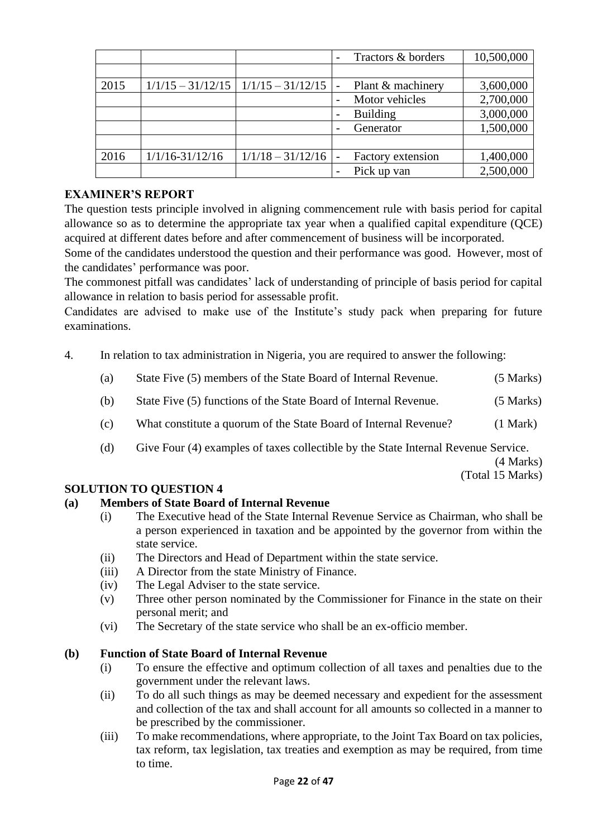|      |                     |                                           | Tractors & borders | 10,500,000 |
|------|---------------------|-------------------------------------------|--------------------|------------|
|      |                     |                                           |                    |            |
| 2015 |                     | $1/1/15 - 31/12/15$   $1/1/15 - 31/12/15$ | Plant & machinery  | 3,600,000  |
|      |                     |                                           | Motor vehicles     | 2,700,000  |
|      |                     |                                           | <b>Building</b>    | 3,000,000  |
|      |                     |                                           | Generator          | 1,500,000  |
|      |                     |                                           |                    |            |
| 2016 | $1/1/16 - 31/12/16$ | $1/1/18 - 31/12/16$                       | Factory extension  | 1,400,000  |
|      |                     |                                           | Pick up van        | 2,500,000  |

The question tests principle involved in aligning commencement rule with basis period for capital allowance so as to determine the appropriate tax year when a qualified capital expenditure (QCE) acquired at different dates before and after commencement of business will be incorporated.

Some of the candidates understood the question and their performance was good. However, most of the candidates' performance was poor.

The commonest pitfall was candidates' lack of understanding of principle of basis period for capital allowance in relation to basis period for assessable profit.

Candidates are advised to make use of the Institute's study pack when preparing for future examinations.

- 4. In relation to tax administration in Nigeria, you are required to answer the following:
	- (a) State Five (5) members of the State Board of Internal Revenue. (5 Marks)
	- (b) State Five (5) functions of the State Board of Internal Revenue. (5 Marks)
	- (c) What constitute a quorum of the State Board of Internal Revenue? (1 Mark)
	- (d) Give Four (4) examples of taxes collectible by the State Internal Revenue Service.

(4 Marks)

(Total 15 Marks)

# **SOLUTION TO QUESTION 4**

# **(a) Members of State Board of Internal Revenue**

- (i) The Executive head of the State Internal Revenue Service as Chairman, who shall be a person experienced in taxation and be appointed by the governor from within the state service.
- (ii) The Directors and Head of Department within the state service.
- (iii) A Director from the state Ministry of Finance.
- (iv) The Legal Adviser to the state service.
- (v) Three other person nominated by the Commissioner for Finance in the state on their personal merit; and
- (vi) The Secretary of the state service who shall be an ex-officio member.

# **(b) Function of State Board of Internal Revenue**

- (i) To ensure the effective and optimum collection of all taxes and penalties due to the government under the relevant laws.
- (ii) To do all such things as may be deemed necessary and expedient for the assessment and collection of the tax and shall account for all amounts so collected in a manner to be prescribed by the commissioner.
- (iii) To make recommendations, where appropriate, to the Joint Tax Board on tax policies, tax reform, tax legislation, tax treaties and exemption as may be required, from time to time.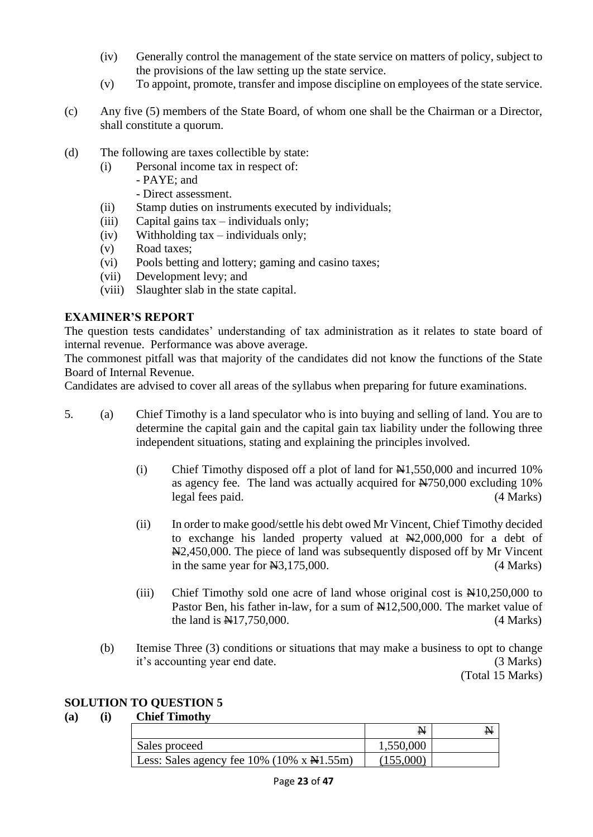- (iv) Generally control the management of the state service on matters of policy, subject to the provisions of the law setting up the state service.
- (v) To appoint, promote, transfer and impose discipline on employees of the state service.
- (c) Any five (5) members of the State Board, of whom one shall be the Chairman or a Director, shall constitute a quorum.
- (d) The following are taxes collectible by state:
	- (i) Personal income tax in respect of:
		- PAYE; and
			- Direct assessment.
	- (ii) Stamp duties on instruments executed by individuals;
	- (iii) Capital gains  $tax individuals$  only;
	- (iv) Withholding tax individuals only;
	- (v) Road taxes;
	- (vi) Pools betting and lottery; gaming and casino taxes;
	- (vii) Development levy; and
	- (viii) Slaughter slab in the state capital.

The question tests candidates' understanding of tax administration as it relates to state board of internal revenue. Performance was above average.

The commonest pitfall was that majority of the candidates did not know the functions of the State Board of Internal Revenue.

Candidates are advised to cover all areas of the syllabus when preparing for future examinations.

- 5. (a) Chief Timothy is a land speculator who is into buying and selling of land. You are to determine the capital gain and the capital gain tax liability under the following three independent situations, stating and explaining the principles involved.
	- (i) Chief Timothy disposed off a plot of land for  $\mathbb{H}1,550,000$  and incurred 10% as agency fee. The land was actually acquired for N750,000 excluding 10% legal fees paid. (4 Marks)
	- (ii) In order to make good/settle his debt owed Mr Vincent, Chief Timothy decided to exchange his landed property valued at  $\mathbb{H}2,000,000$  for a debt of N2,450,000. The piece of land was subsequently disposed off by Mr Vincent in the same year for  $\text{\textcircled{H}}3,175,000$ . (4 Marks)
	- (iii) Chief Timothy sold one acre of land whose original cost is  $\mathbb{H}10,250,000$  to Pastor Ben, his father in-law, for a sum of  $\mathbb{N}12,500,000$ . The market value of the land is  $\frac{1417}{750000}$ . (4 Marks)
	- (b) Itemise Three (3) conditions or situations that may make a business to opt to change it's accounting year end date. (3 Marks)

(Total 15 Marks)

# **SOLUTION TO QUESTION 5**

# **(a) (i) Chief Timothy**

|                                                                   | N         |  |
|-------------------------------------------------------------------|-----------|--|
| Sales proceed                                                     | 1,550,000 |  |
| Less: Sales agency fee $10\%$ ( $10\%$ x $\text{N}1.55\text{m}$ ) | (155,000) |  |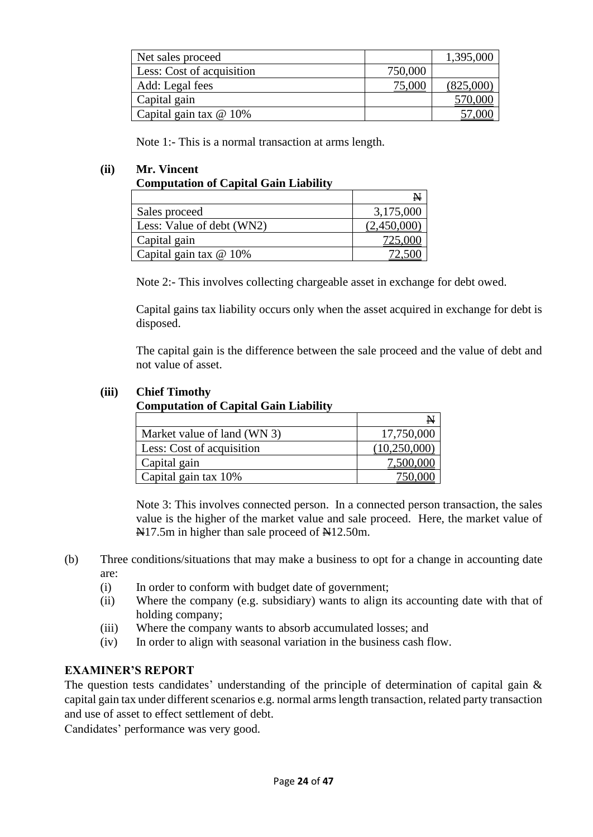| Net sales proceed         |         | 1,395,000 |
|---------------------------|---------|-----------|
| Less: Cost of acquisition | 750,000 |           |
| Add: Legal fees           | 75,000  | (825,000) |
| Capital gain              |         | 570,000   |
| Capital gain tax @ 10%    |         |           |

Note 1:- This is a normal transaction at arms length.

# **(ii) Mr. Vincent**

## **Computation of Capital Gain Liability**

|                           | N           |
|---------------------------|-------------|
| Sales proceed             | 3,175,000   |
| Less: Value of debt (WN2) | (2,450,000) |
| Capital gain              | 725,000     |
| Capital gain tax $@$ 10%  |             |

Note 2:- This involves collecting chargeable asset in exchange for debt owed.

Capital gains tax liability occurs only when the asset acquired in exchange for debt is disposed.

The capital gain is the difference between the sale proceed and the value of debt and not value of asset.

#### **(iii) Chief Timothy**

#### **Computation of Capital Gain Liability**

|                             | N            |
|-----------------------------|--------------|
| Market value of land (WN 3) | 17,750,000   |
| Less: Cost of acquisition   | (10,250,000) |
| Capital gain                | 7,500,000    |
| Capital gain tax 10%        |              |

Note 3: This involves connected person. In a connected person transaction, the sales value is the higher of the market value and sale proceed. Here, the market value of N<sub>17.5</sub>m in higher than sale proceed of N<sub>12.50</sub>m.

- (b) Three conditions/situations that may make a business to opt for a change in accounting date are:
	- (i) In order to conform with budget date of government;
	- (ii) Where the company (e.g. subsidiary) wants to align its accounting date with that of holding company;
	- (iii) Where the company wants to absorb accumulated losses; and
	- (iv) In order to align with seasonal variation in the business cash flow.

# **EXAMINER'S REPORT**

The question tests candidates' understanding of the principle of determination of capital gain & capital gain tax under different scenarios e.g. normal arms length transaction, related party transaction and use of asset to effect settlement of debt.

Candidates' performance was very good.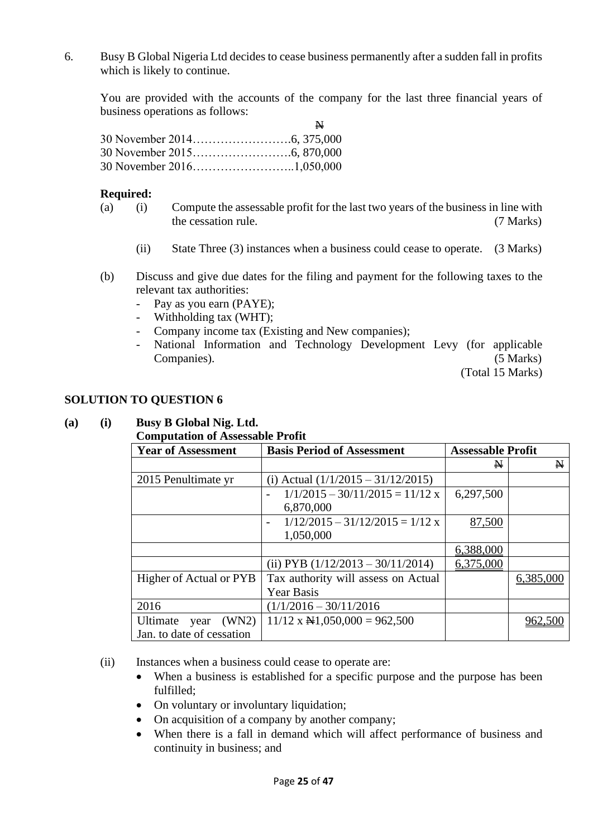6. Busy B Global Nigeria Ltd decides to cease business permanently after a sudden fall in profits which is likely to continue.

You are provided with the accounts of the company for the last three financial years of business operations as follows:  $\overline{N}$ 

| N. |
|----|
|    |
|    |
|    |

#### **Required:**

- (a) (i) Compute the assessable profit for the last two years of the business in line with the cessation rule. (7 Marks)
	- (ii) State Three (3) instances when a business could cease to operate. (3 Marks)
- (b) Discuss and give due dates for the filing and payment for the following taxes to the relevant tax authorities:
	- Pay as you earn (PAYE);
	- Withholding tax (WHT);
	- Company income tax (Existing and New companies);
	- National Information and Technology Development Levy (for applicable Companies). (5 Marks)

(Total 15 Marks)

#### **SOLUTION TO QUESTION 6**

#### **(a) (i) Busy B Global Nig. Ltd.**

#### **Computation of Assessable Profit**

| <b>Year of Assessment</b> | <b>Basis Period of Assessment</b>                             | <b>Assessable Profit</b> |              |
|---------------------------|---------------------------------------------------------------|--------------------------|--------------|
|                           |                                                               | $\mathbf{N}$             | $\mathbf{N}$ |
| 2015 Penultimate yr       | (i) Actual $(1/1/2015 - 31/12/2015)$                          |                          |              |
|                           | $1/1/2015 - 30/11/2015 = 11/12$ x<br>$\overline{\phantom{a}}$ | 6,297,500                |              |
|                           | 6,870,000                                                     |                          |              |
|                           | $1/12/2015 - 31/12/2015 = 1/12$ x<br>$\overline{\phantom{0}}$ | 87,500                   |              |
|                           | 1,050,000                                                     |                          |              |
|                           |                                                               | 6,388,000                |              |
|                           | (ii) PYB $(1/12/2013 - 30/11/2014)$                           | 6,375,000                |              |
| Higher of Actual or PYB   | Tax authority will assess on Actual                           |                          | 6,385,000    |
|                           | <b>Year Basis</b>                                             |                          |              |
| 2016                      | $(1/1/2016 - 30/11/2016$                                      |                          |              |
| (WN2)<br>Ultimate year    | $11/12$ x $\text{H}1,050,000 = 962,500$                       |                          | 962,500      |
| Jan. to date of cessation |                                                               |                          |              |

(ii) Instances when a business could cease to operate are:

- When a business is established for a specific purpose and the purpose has been fulfilled;
- On voluntary or involuntary liquidation;
- On acquisition of a company by another company;
- When there is a fall in demand which will affect performance of business and continuity in business; and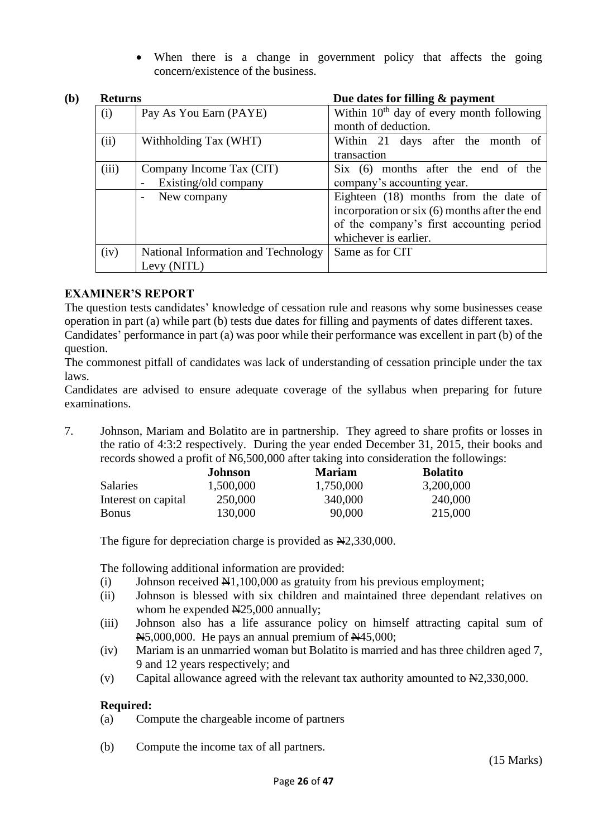• When there is a change in government policy that affects the going concern/existence of the business.

| (b)         | <b>Returns</b> |                                     | Due dates for filling & payment               |  |  |
|-------------|----------------|-------------------------------------|-----------------------------------------------|--|--|
|             | (i)            | Pay As You Earn (PAYE)              | Within $10th$ day of every month following    |  |  |
|             |                |                                     | month of deduction.                           |  |  |
|             | (ii)           | Withholding Tax (WHT)               | Within 21 days after the month of             |  |  |
|             |                |                                     | transaction                                   |  |  |
|             | (iii)          | Company Income Tax (CIT)            | Six (6) months after the end of the           |  |  |
|             |                | Existing/old company                | company's accounting year.                    |  |  |
|             |                | New company                         | Eighteen (18) months from the date of         |  |  |
|             |                |                                     | incorporation or six (6) months after the end |  |  |
|             |                |                                     | of the company's first accounting period      |  |  |
|             |                |                                     | whichever is earlier.                         |  |  |
|             | (iv)           | National Information and Technology | Same as for CIT                               |  |  |
| Levy (NITL) |                |                                     |                                               |  |  |

# **EXAMINER'S REPORT**

The question tests candidates' knowledge of cessation rule and reasons why some businesses cease operation in part (a) while part (b) tests due dates for filling and payments of dates different taxes.

Candidates' performance in part (a) was poor while their performance was excellent in part (b) of the question.

The commonest pitfall of candidates was lack of understanding of cessation principle under the tax laws.

Candidates are advised to ensure adequate coverage of the syllabus when preparing for future examinations.

7. Johnson, Mariam and Bolatito are in partnership. They agreed to share profits or losses in the ratio of 4:3:2 respectively. During the year ended December 31, 2015, their books and records showed a profit of  $\text{\textcircled{H}}6,500,000$  after taking into consideration the followings:

|                     | <b>Johnson</b> | <b>Mariam</b> | <b>Bolatito</b> |
|---------------------|----------------|---------------|-----------------|
| <b>Salaries</b>     | 1,500,000      | 1,750,000     | 3,200,000       |
| Interest on capital | 250,000        | 340,000       | 240,000         |
| Bonus               | 130,000        | 90,000        | 215,000         |

The figure for depreciation charge is provided as  $\mathbb{H}2,330,000$ .

The following additional information are provided:

- (i) Johnson received  $\mathbb{H}1,100,000$  as gratuity from his previous employment;
- (ii) Johnson is blessed with six children and maintained three dependant relatives on whom he expended  $N25,000$  annually;
- (iii) Johnson also has a life assurance policy on himself attracting capital sum of  $\overline{N5,000,000}$ . He pays an annual premium of  $\overline{N445,000}$ ;
- (iv) Mariam is an unmarried woman but Bolatito is married and has three children aged 7, 9 and 12 years respectively; and
- (v) Capital allowance agreed with the relevant tax authority amounted to  $\mathbb{N}2,330,000$ .

# **Required:**

(a) Compute the chargeable income of partners

(b) Compute the income tax of all partners.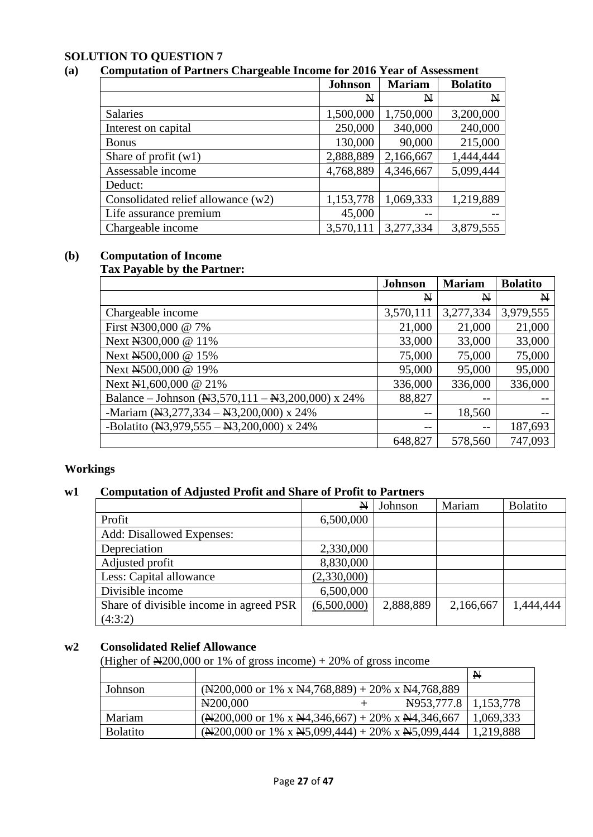# **SOLUTION TO QUESTION 7**

# **(a) Computation of Partners Chargeable Income for 2016 Year of Assessment**

|                                    | <b>Johnson</b> | <b>Mariam</b> | <b>Bolatito</b> |
|------------------------------------|----------------|---------------|-----------------|
|                                    | N              | N             | $\mathbf{N}$    |
| Salaries                           | 1,500,000      | 1,750,000     | 3,200,000       |
| Interest on capital                | 250,000        | 340,000       | 240,000         |
| <b>Bonus</b>                       | 130,000        | 90,000        | 215,000         |
| Share of profit $(w1)$             | 2,888,889      | 2,166,667     | 1,444,444       |
| Assessable income                  | 4,768,889      | 4,346,667     | 5,099,444       |
| Deduct:                            |                |               |                 |
| Consolidated relief allowance (w2) | 1,153,778      | 1,069,333     | 1,219,889       |
| Life assurance premium             | 45,000         |               |                 |
| Chargeable income                  | 3,570,111      | 3,277,334     | 3,879,555       |

#### **(b) Computation of Income Tax Payable by the Partner:**

|                                                                             | <b>Johnson</b> | <b>Mariam</b> | <b>Bolatito</b> |
|-----------------------------------------------------------------------------|----------------|---------------|-----------------|
|                                                                             | N              | N             | $\mathbf{N}$    |
| Chargeable income                                                           | 3,570,111      | 3,277,334     | 3,979,555       |
| First N300,000 @ 7%                                                         | 21,000         | 21,000        | 21,000          |
| Next N300,000 @ 11%                                                         | 33,000         | 33,000        | 33,000          |
| Next N500,000 @ 15%                                                         | 75,000         | 75,000        | 75,000          |
| Next N500,000 @ 19%                                                         | 95,000         | 95,000        | 95,000          |
| Next N1,600,000 @ 21%                                                       | 336,000        | 336,000       | 336,000         |
| Balance – Johnson ( $\overline{M}3,570,111 - \overline{M}3,200,000$ ) x 24% | 88,827         | --            |                 |
| -Mariam $(\frac{N3}{277}, \frac{334}{8} - \frac{N3}{200}, 000)$ x 24%       | $-$            | 18,560        |                 |
| -Bolatito ( $\overline{M3,979,555} - \overline{M3,200,000}$ ) x 24%         | --             | --            | 187,693         |
|                                                                             | 648,827        | 578,560       | 747,093         |

# **Workings**

# **w1 Computation of Adjusted Profit and Share of Profit to Partners**

|                                         | $\mathbf{N}$ | Johnson   | Mariam    | <b>Bolatito</b> |
|-----------------------------------------|--------------|-----------|-----------|-----------------|
| Profit                                  | 6,500,000    |           |           |                 |
| Add: Disallowed Expenses:               |              |           |           |                 |
| Depreciation                            | 2,330,000    |           |           |                 |
| Adjusted profit                         | 8,830,000    |           |           |                 |
| Less: Capital allowance                 | (2,330,000)  |           |           |                 |
| Divisible income                        | 6,500,000    |           |           |                 |
| Share of divisible income in agreed PSR | (6,500,000)  | 2,888,889 | 2,166,667 | 1.444.444       |
| (4:3:2)                                 |              |           |           |                 |

#### **w2 Consolidated Relief Allowance**

(Higher of  $\text{H200,000}$  or 1% of gross income) + 20% of gross income

|                 |                                                                                                                                                                                                                                                                                                                                             | $\mathbb{N}$ |
|-----------------|---------------------------------------------------------------------------------------------------------------------------------------------------------------------------------------------------------------------------------------------------------------------------------------------------------------------------------------------|--------------|
| Johnson         | $(\text{N200,000 or 1\% x N4,768,889}) + 20\% \text{ x N4,768,889}$                                                                                                                                                                                                                                                                         |              |
|                 | <del>N</del> 953,777.8   1,153,778<br>N <sub>200</sub> ,000                                                                                                                                                                                                                                                                                 |              |
| Mariam          | $(\frac{1200,000 \text{ or } 1\% \text{ x } \frac{144,346,667}{20\% \text{ x } \frac{144,346,667}{20\% \text{ x } \frac{144,346,667}{20\% \text{ x } \frac{144,346,667}{20\% \text{ x } \frac{144,346,667}{20\% \text{ x } \frac{144,346,667}{20\% \text{ x } \frac{144,346,667}{20\% \text{ x } \frac{144,346,667}{20\% \text{ x } \frac{$ | 1,069,333    |
| <b>Bolatito</b> | $(\text{N200,000 or 1\% x N5,099,444}) + 20\% \times \text{N5,099,444}$                                                                                                                                                                                                                                                                     | 1,219,888    |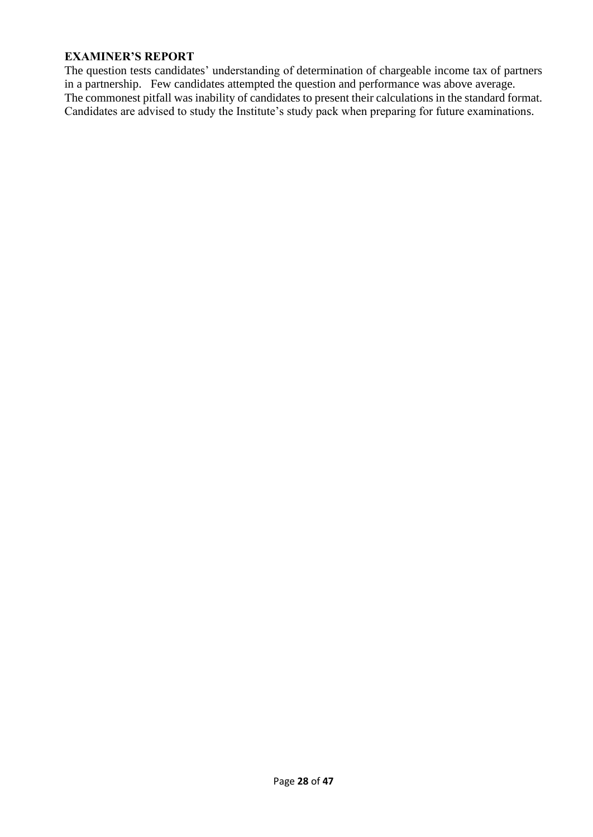The question tests candidates' understanding of determination of chargeable income tax of partners in a partnership. Few candidates attempted the question and performance was above average. The commonest pitfall was inability of candidates to present their calculations in the standard format. Candidates are advised to study the Institute's study pack when preparing for future examinations.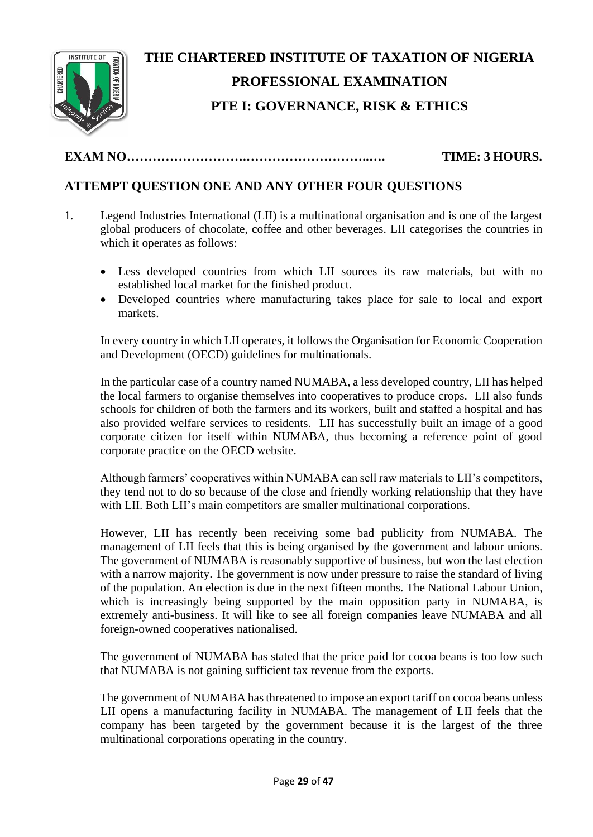

# **THE CHARTERED INSTITUTE OF TAXATION OF NIGERIA PROFESSIONAL EXAMINATION PTE I: GOVERNANCE, RISK & ETHICS**

# **EXAM NO……………………….………………………..…. TIME: 3 HOURS.**

# **ATTEMPT QUESTION ONE AND ANY OTHER FOUR QUESTIONS**

- 1. Legend Industries International (LII) is a multinational organisation and is one of the largest global producers of chocolate, coffee and other beverages. LII categorises the countries in which it operates as follows:
	- Less developed countries from which LII sources its raw materials, but with no established local market for the finished product.
	- Developed countries where manufacturing takes place for sale to local and export markets.

In every country in which LII operates, it follows the Organisation for Economic Cooperation and Development (OECD) guidelines for multinationals.

In the particular case of a country named NUMABA, a less developed country, LII has helped the local farmers to organise themselves into cooperatives to produce crops. LII also funds schools for children of both the farmers and its workers, built and staffed a hospital and has also provided welfare services to residents. LII has successfully built an image of a good corporate citizen for itself within NUMABA, thus becoming a reference point of good corporate practice on the OECD website.

Although farmers' cooperatives within NUMABA can sell raw materials to LII's competitors, they tend not to do so because of the close and friendly working relationship that they have with LII. Both LII's main competitors are smaller multinational corporations.

However, LII has recently been receiving some bad publicity from NUMABA. The management of LII feels that this is being organised by the government and labour unions. The government of NUMABA is reasonably supportive of business, but won the last election with a narrow majority. The government is now under pressure to raise the standard of living of the population. An election is due in the next fifteen months. The National Labour Union, which is increasingly being supported by the main opposition party in NUMABA, is extremely anti-business. It will like to see all foreign companies leave NUMABA and all foreign-owned cooperatives nationalised.

The government of NUMABA has stated that the price paid for cocoa beans is too low such that NUMABA is not gaining sufficient tax revenue from the exports.

The government of NUMABA has threatened to impose an export tariff on cocoa beans unless LII opens a manufacturing facility in NUMABA. The management of LII feels that the company has been targeted by the government because it is the largest of the three multinational corporations operating in the country.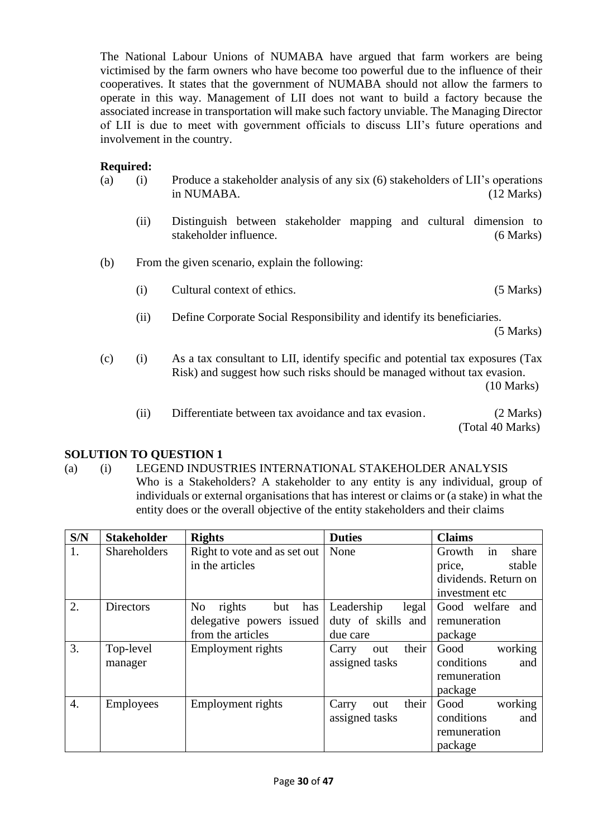The National Labour Unions of NUMABA have argued that farm workers are being victimised by the farm owners who have become too powerful due to the influence of their cooperatives. It states that the government of NUMABA should not allow the farmers to operate in this way. Management of LII does not want to build a factory because the associated increase in transportation will make such factory unviable. The Managing Director of LII is due to meet with government officials to discuss LII's future operations and involvement in the country.

# **Required:**

- (a) (i) Produce a stakeholder analysis of any six (6) stakeholders of LII's operations in NUMABA. (12 Marks)
	- (ii) Distinguish between stakeholder mapping and cultural dimension to stakeholder influence. (6 Marks)
- (b) From the given scenario, explain the following:
	- (i) Cultural context of ethics. (5 Marks)
	- (ii) Define Corporate Social Responsibility and identify its beneficiaries.

(5 Marks)

- (c) (i) As a tax consultant to LII, identify specific and potential tax exposures (Tax Risk) and suggest how such risks should be managed without tax evasion. (10 Marks)
	- (ii) Differentiate between tax avoidance and tax evasion. (2 Marks) (Total 40 Marks)

# **SOLUTION TO QUESTION 1**

#### (a) (i) LEGEND INDUSTRIES INTERNATIONAL STAKEHOLDER ANALYSIS Who is a Stakeholders? A stakeholder to any entity is any individual, group of individuals or external organisations that has interest or claims or (a stake) in what the entity does or the overall objective of the entity stakeholders and their claims

| S/N              | <b>Stakeholder</b>  | <b>Rights</b>                          | <b>Duties</b>         | <b>Claims</b>         |
|------------------|---------------------|----------------------------------------|-----------------------|-----------------------|
| 1.               | <b>Shareholders</b> | Right to vote and as set out           | None                  | in<br>Growth<br>share |
|                  |                     | in the articles                        |                       | stable<br>price,      |
|                  |                     |                                        |                       | dividends. Return on  |
|                  |                     |                                        |                       | investment etc.       |
| 2.               | Directors           | N <sub>o</sub><br>rights<br>but<br>has | Leadership<br>legal   | Good welfare<br>and   |
|                  |                     | delegative powers issued               | duty of skills and    | remuneration          |
|                  |                     | from the articles                      | due care              | package               |
| 3.               | Top-level           | Employment rights                      | their<br>Carry<br>out | working<br>Good       |
|                  | manager             |                                        | assigned tasks        | conditions<br>and     |
|                  |                     |                                        |                       | remuneration          |
|                  |                     |                                        |                       | package               |
| $\overline{4}$ . | <b>Employees</b>    | Employment rights                      | their<br>Carry<br>out | working<br>Good       |
|                  |                     |                                        | assigned tasks        | conditions<br>and     |
|                  |                     |                                        |                       | remuneration          |
|                  |                     |                                        |                       | package               |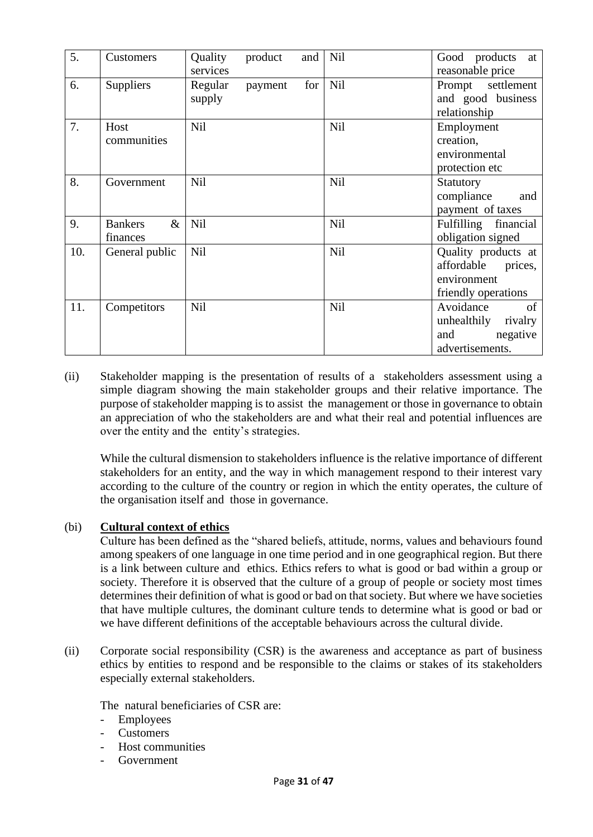| 5.  | Customers                          | Quality<br>services | product | and | Nil        | Good products<br>at<br>reasonable price                                         |
|-----|------------------------------------|---------------------|---------|-----|------------|---------------------------------------------------------------------------------|
| 6.  | Suppliers                          | Regular<br>supply   | payment | for | Nil        | Prompt settlement<br>and good business<br>relationship                          |
| 7.  | Host<br>communities                | <b>Nil</b>          |         |     | <b>Nil</b> | Employment<br>creation,<br>environmental<br>protection etc                      |
| 8.  | Government                         | <b>Nil</b>          |         |     | Nil        | Statutory<br>compliance<br>and<br>payment of taxes                              |
| 9.  | $\&$<br><b>Bankers</b><br>finances | <b>Nil</b>          |         |     | Nil        | Fulfilling financial<br>obligation signed                                       |
| 10. | General public                     | <b>Nil</b>          |         |     | Nil        | Quality products at<br>affordable prices,<br>environment<br>friendly operations |
| 11. | Competitors                        | <b>Nil</b>          |         |     | Nil        | Avoidance<br>of<br>unhealthily<br>rivalry<br>and<br>negative<br>advertisements. |

(ii) Stakeholder mapping is the presentation of results of a stakeholders assessment using a simple diagram showing the main stakeholder groups and their relative importance. The purpose of stakeholder mapping is to assist the management or those in governance to obtain an appreciation of who the stakeholders are and what their real and potential influences are over the entity and the entity's strategies.

While the cultural dismension to stakeholders influence is the relative importance of different stakeholders for an entity, and the way in which management respond to their interest vary according to the culture of the country or region in which the entity operates, the culture of the organisation itself and those in governance.

# (bi) **Cultural context of ethics**

Culture has been defined as the "shared beliefs, attitude, norms, values and behaviours found among speakers of one language in one time period and in one geographical region. But there is a link between culture and ethics. Ethics refers to what is good or bad within a group or society. Therefore it is observed that the culture of a group of people or society most times determines their definition of what is good or bad on that society. But where we have societies that have multiple cultures, the dominant culture tends to determine what is good or bad or we have different definitions of the acceptable behaviours across the cultural divide.

(ii) Corporate social responsibility (CSR) is the awareness and acceptance as part of business ethics by entities to respond and be responsible to the claims or stakes of its stakeholders especially external stakeholders.

The natural beneficiaries of CSR are:

- Employees
- **Customers**
- Host communities
- **Government**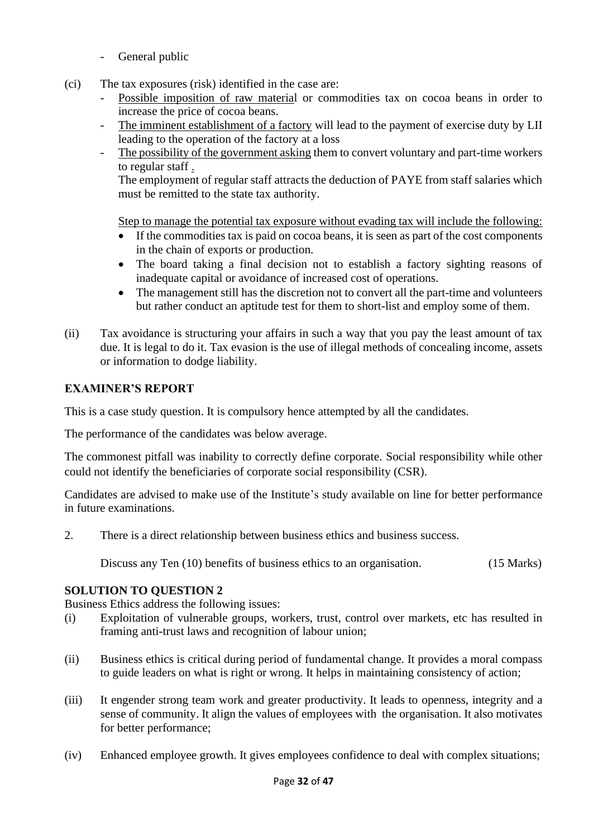- General public
- (ci) The tax exposures (risk) identified in the case are:
	- Possible imposition of raw material or commodities tax on cocoa beans in order to increase the price of cocoa beans.
	- The imminent establishment of a factory will lead to the payment of exercise duty by LII leading to the operation of the factory at a loss
	- The possibility of the government asking them to convert voluntary and part-time workers to regular staff .

The employment of regular staff attracts the deduction of PAYE from staff salaries which must be remitted to the state tax authority.

Step to manage the potential tax exposure without evading tax will include the following:

- If the commodities tax is paid on cocoa beans, it is seen as part of the cost components in the chain of exports or production.
- The board taking a final decision not to establish a factory sighting reasons of inadequate capital or avoidance of increased cost of operations.
- The management still has the discretion not to convert all the part-time and volunteers but rather conduct an aptitude test for them to short-list and employ some of them.
- (ii) Tax avoidance is structuring your affairs in such a way that you pay the least amount of tax due. It is legal to do it. Tax evasion is the use of illegal methods of concealing income, assets or information to dodge liability.

# **EXAMINER'S REPORT**

This is a case study question. It is compulsory hence attempted by all the candidates.

The performance of the candidates was below average.

The commonest pitfall was inability to correctly define corporate. Social responsibility while other could not identify the beneficiaries of corporate social responsibility (CSR).

Candidates are advised to make use of the Institute's study available on line for better performance in future examinations.

2. There is a direct relationship between business ethics and business success.

Discuss any Ten (10) benefits of business ethics to an organisation. (15 Marks)

# **SOLUTION TO QUESTION 2**

Business Ethics address the following issues:

- (i) Exploitation of vulnerable groups, workers, trust, control over markets, etc has resulted in framing anti-trust laws and recognition of labour union;
- (ii) Business ethics is critical during period of fundamental change. It provides a moral compass to guide leaders on what is right or wrong. It helps in maintaining consistency of action;
- (iii) It engender strong team work and greater productivity. It leads to openness, integrity and a sense of community. It align the values of employees with the organisation. It also motivates for better performance;
- (iv) Enhanced employee growth. It gives employees confidence to deal with complex situations;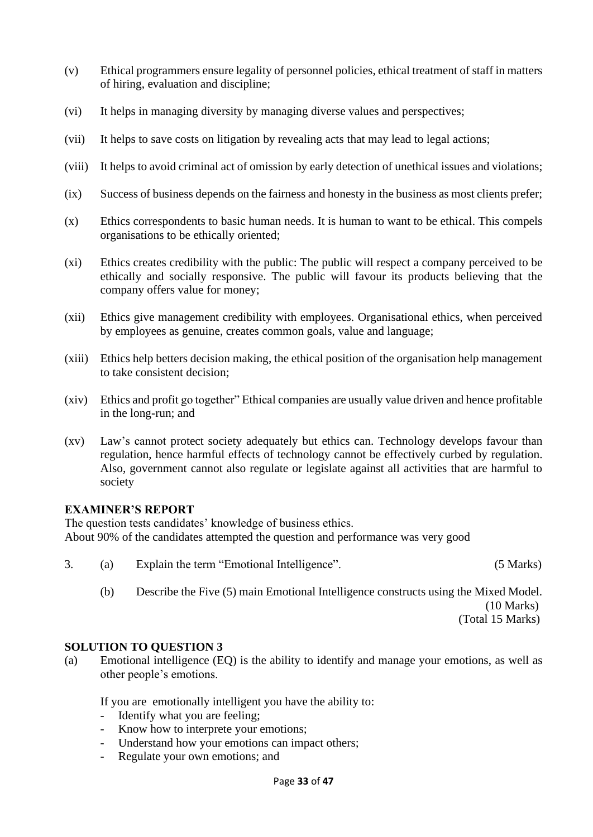- (v) Ethical programmers ensure legality of personnel policies, ethical treatment of staff in matters of hiring, evaluation and discipline;
- (vi) It helps in managing diversity by managing diverse values and perspectives;
- (vii) It helps to save costs on litigation by revealing acts that may lead to legal actions;
- (viii) It helps to avoid criminal act of omission by early detection of unethical issues and violations;
- (ix) Success of business depends on the fairness and honesty in the business as most clients prefer;
- (x) Ethics correspondents to basic human needs. It is human to want to be ethical. This compels organisations to be ethically oriented;
- (xi) Ethics creates credibility with the public: The public will respect a company perceived to be ethically and socially responsive. The public will favour its products believing that the company offers value for money;
- (xii) Ethics give management credibility with employees. Organisational ethics, when perceived by employees as genuine, creates common goals, value and language;
- (xiii) Ethics help betters decision making, the ethical position of the organisation help management to take consistent decision;
- (xiv) Ethics and profit go together" Ethical companies are usually value driven and hence profitable in the long-run; and
- (xv) Law's cannot protect society adequately but ethics can. Technology develops favour than regulation, hence harmful effects of technology cannot be effectively curbed by regulation. Also, government cannot also regulate or legislate against all activities that are harmful to society

The question tests candidates' knowledge of business ethics. About 90% of the candidates attempted the question and performance was very good

- 3. (a) Explain the term "Emotional Intelligence". (5 Marks)
	- (b) Describe the Five (5) main Emotional Intelligence constructs using the Mixed Model. (10 Marks)

(Total 15 Marks)

#### **SOLUTION TO QUESTION 3**

(a) Emotional intelligence (EQ) is the ability to identify and manage your emotions, as well as other people's emotions.

If you are emotionally intelligent you have the ability to:

- Identify what you are feeling;
- Know how to interprete your emotions;
- Understand how your emotions can impact others;
- Regulate your own emotions; and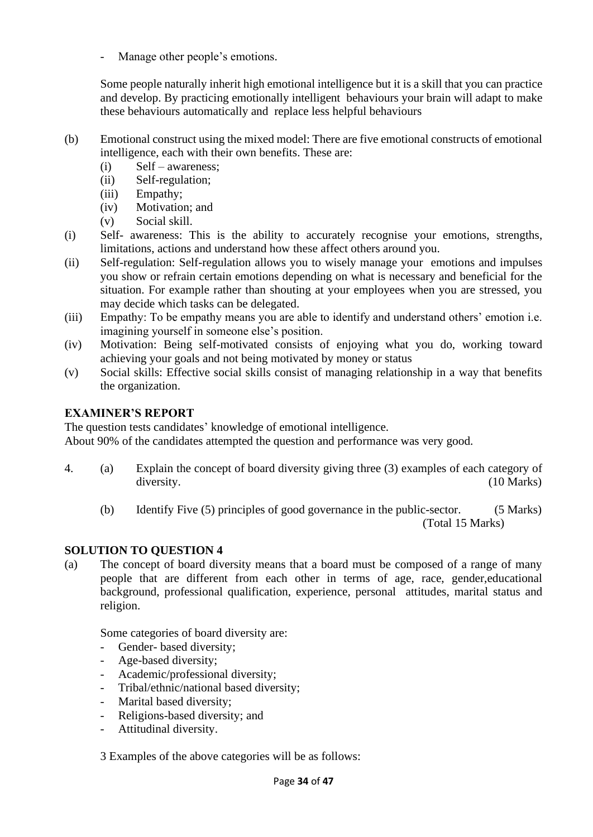Manage other people's emotions.

Some people naturally inherit high emotional intelligence but it is a skill that you can practice and develop. By practicing emotionally intelligent behaviours your brain will adapt to make these behaviours automatically and replace less helpful behaviours

- (b) Emotional construct using the mixed model: There are five emotional constructs of emotional intelligence, each with their own benefits. These are:
	- (i) Self awareness;
	- (ii) Self-regulation;
	- (iii) Empathy;
	- (iv) Motivation; and
	- (v) Social skill.
- (i) Self- awareness: This is the ability to accurately recognise your emotions, strengths, limitations, actions and understand how these affect others around you.
- (ii) Self-regulation: Self-regulation allows you to wisely manage your emotions and impulses you show or refrain certain emotions depending on what is necessary and beneficial for the situation. For example rather than shouting at your employees when you are stressed, you may decide which tasks can be delegated.
- (iii) Empathy: To be empathy means you are able to identify and understand others' emotion i.e. imagining yourself in someone else's position.
- (iv) Motivation: Being self-motivated consists of enjoying what you do, working toward achieving your goals and not being motivated by money or status
- (v) Social skills: Effective social skills consist of managing relationship in a way that benefits the organization.

# **EXAMINER'S REPORT**

The question tests candidates' knowledge of emotional intelligence. About 90% of the candidates attempted the question and performance was very good.

- 4. (a) Explain the concept of board diversity giving three (3) examples of each category of diversity. (10 Marks)
	- (b) Identify Five (5) principles of good governance in the public-sector. (5 Marks) (Total 15 Marks)

# **SOLUTION TO QUESTION 4**

(a) The concept of board diversity means that a board must be composed of a range of many people that are different from each other in terms of age, race, gender,educational background, professional qualification, experience, personal attitudes, marital status and religion.

Some categories of board diversity are:

- Gender- based diversity;
- Age-based diversity;
- Academic/professional diversity;
- Tribal/ethnic/national based diversity;
- Marital based diversity:
- Religions-based diversity; and
- Attitudinal diversity.

3 Examples of the above categories will be as follows: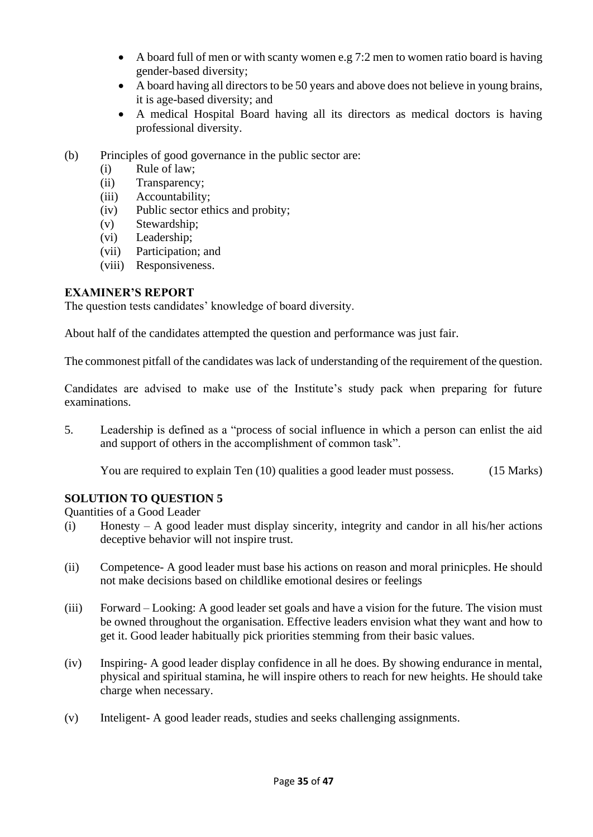- A board full of men or with scanty women e.g 7:2 men to women ratio board is having gender-based diversity;
- A board having all directors to be 50 years and above does not believe in young brains, it is age-based diversity; and
- A medical Hospital Board having all its directors as medical doctors is having professional diversity.
- (b) Principles of good governance in the public sector are:
	- (i) Rule of law;
	- (ii) Transparency;
	- (iii) Accountability;
	- (iv) Public sector ethics and probity;
	- (v) Stewardship;
	- (vi) Leadership;
	- (vii) Participation; and
	- (viii) Responsiveness.

The question tests candidates' knowledge of board diversity.

About half of the candidates attempted the question and performance was just fair.

The commonest pitfall of the candidates was lack of understanding of the requirement of the question.

Candidates are advised to make use of the Institute's study pack when preparing for future examinations.

5. Leadership is defined as a "process of social influence in which a person can enlist the aid and support of others in the accomplishment of common task".

You are required to explain Ten (10) qualities a good leader must possess. (15 Marks)

# **SOLUTION TO QUESTION 5**

Quantities of a Good Leader

- (i) Honesty A good leader must display sincerity, integrity and candor in all his/her actions deceptive behavior will not inspire trust.
- (ii) Competence- A good leader must base his actions on reason and moral prinicples. He should not make decisions based on childlike emotional desires or feelings
- (iii) Forward Looking: A good leader set goals and have a vision for the future. The vision must be owned throughout the organisation. Effective leaders envision what they want and how to get it. Good leader habitually pick priorities stemming from their basic values.
- (iv) Inspiring- A good leader display confidence in all he does. By showing endurance in mental, physical and spiritual stamina, he will inspire others to reach for new heights. He should take charge when necessary.
- (v) Inteligent- A good leader reads, studies and seeks challenging assignments.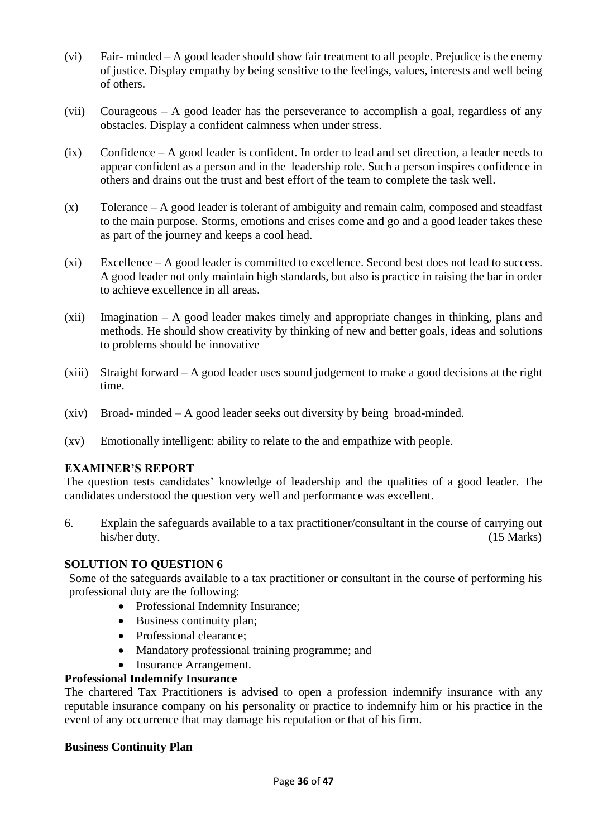- (vi) Fair- minded A good leader should show fair treatment to all people. Prejudice is the enemy of justice. Display empathy by being sensitive to the feelings, values, interests and well being of others.
- (vii) Courageous A good leader has the perseverance to accomplish a goal, regardless of any obstacles. Display a confident calmness when under stress.
- (ix) Confidence A good leader is confident. In order to lead and set direction, a leader needs to appear confident as a person and in the leadership role. Such a person inspires confidence in others and drains out the trust and best effort of the team to complete the task well.
- (x) Tolerance A good leader is tolerant of ambiguity and remain calm, composed and steadfast to the main purpose. Storms, emotions and crises come and go and a good leader takes these as part of the journey and keeps a cool head.
- (xi) Excellence A good leader is committed to excellence. Second best does not lead to success. A good leader not only maintain high standards, but also is practice in raising the bar in order to achieve excellence in all areas.
- (xii) Imagination A good leader makes timely and appropriate changes in thinking, plans and methods. He should show creativity by thinking of new and better goals, ideas and solutions to problems should be innovative
- (xiii) Straight forward A good leader uses sound judgement to make a good decisions at the right time.
- (xiv) Broad- minded A good leader seeks out diversity by being broad-minded.
- (xv) Emotionally intelligent: ability to relate to the and empathize with people.

The question tests candidates' knowledge of leadership and the qualities of a good leader. The candidates understood the question very well and performance was excellent.

6. Explain the safeguards available to a tax practitioner/consultant in the course of carrying out his/her duty. (15 Marks)

#### **SOLUTION TO QUESTION 6**

Some of the safeguards available to a tax practitioner or consultant in the course of performing his professional duty are the following:

- Professional Indemnity Insurance;
- Business continuity plan;
- Professional clearance;
- Mandatory professional training programme; and
- Insurance Arrangement.

#### **Professional Indemnify Insurance**

The chartered Tax Practitioners is advised to open a profession indemnify insurance with any reputable insurance company on his personality or practice to indemnify him or his practice in the event of any occurrence that may damage his reputation or that of his firm.

#### **Business Continuity Plan**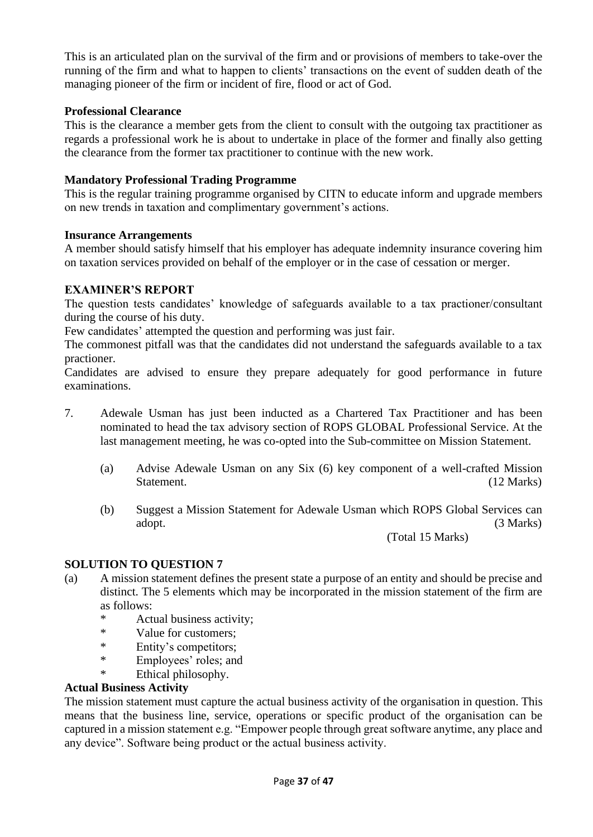This is an articulated plan on the survival of the firm and or provisions of members to take-over the running of the firm and what to happen to clients' transactions on the event of sudden death of the managing pioneer of the firm or incident of fire, flood or act of God.

## **Professional Clearance**

This is the clearance a member gets from the client to consult with the outgoing tax practitioner as regards a professional work he is about to undertake in place of the former and finally also getting the clearance from the former tax practitioner to continue with the new work.

#### **Mandatory Professional Trading Programme**

This is the regular training programme organised by CITN to educate inform and upgrade members on new trends in taxation and complimentary government's actions.

#### **Insurance Arrangements**

A member should satisfy himself that his employer has adequate indemnity insurance covering him on taxation services provided on behalf of the employer or in the case of cessation or merger.

#### **EXAMINER'S REPORT**

The question tests candidates' knowledge of safeguards available to a tax practioner/consultant during the course of his duty.

Few candidates' attempted the question and performing was just fair.

The commonest pitfall was that the candidates did not understand the safeguards available to a tax practioner.

Candidates are advised to ensure they prepare adequately for good performance in future examinations.

- 7. Adewale Usman has just been inducted as a Chartered Tax Practitioner and has been nominated to head the tax advisory section of ROPS GLOBAL Professional Service. At the last management meeting, he was co-opted into the Sub-committee on Mission Statement.
	- (a) Advise Adewale Usman on any Six (6) key component of a well-crafted Mission Statement. (12 Marks)
	- (b) Suggest a Mission Statement for Adewale Usman which ROPS Global Services can adopt. (3 Marks)

(Total 15 Marks)

# **SOLUTION TO QUESTION 7**

- (a) A mission statement defines the present state a purpose of an entity and should be precise and distinct. The 5 elements which may be incorporated in the mission statement of the firm are as follows:<br> $\frac{*}{4}$ 
	- Actual business activity;
	- \* Value for customers;
	- \* Entity's competitors;<br>\* Employees' roles: and
	- Employees' roles; and
	- \* Ethical philosophy.

#### **Actual Business Activity**

The mission statement must capture the actual business activity of the organisation in question. This means that the business line, service, operations or specific product of the organisation can be captured in a mission statement e.g. "Empower people through great software anytime, any place and any device". Software being product or the actual business activity.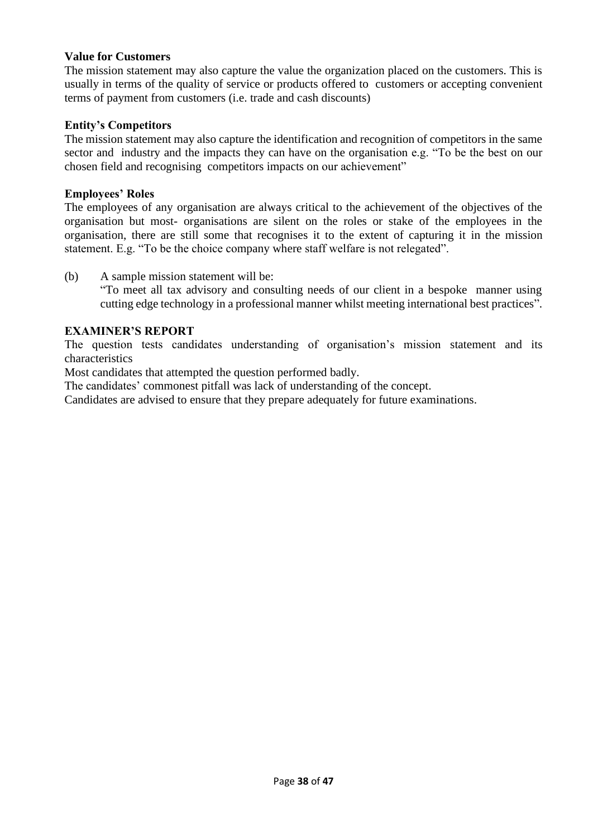#### **Value for Customers**

The mission statement may also capture the value the organization placed on the customers. This is usually in terms of the quality of service or products offered to customers or accepting convenient terms of payment from customers (i.e. trade and cash discounts)

#### **Entity's Competitors**

The mission statement may also capture the identification and recognition of competitors in the same sector and industry and the impacts they can have on the organisation e.g. "To be the best on our chosen field and recognising competitors impacts on our achievement"

#### **Employees' Roles**

The employees of any organisation are always critical to the achievement of the objectives of the organisation but most- organisations are silent on the roles or stake of the employees in the organisation, there are still some that recognises it to the extent of capturing it in the mission statement. E.g. "To be the choice company where staff welfare is not relegated".

(b) A sample mission statement will be:

"To meet all tax advisory and consulting needs of our client in a bespoke manner using cutting edge technology in a professional manner whilst meeting international best practices".

#### **EXAMINER'S REPORT**

The question tests candidates understanding of organisation's mission statement and its characteristics

Most candidates that attempted the question performed badly.

The candidates' commonest pitfall was lack of understanding of the concept.

Candidates are advised to ensure that they prepare adequately for future examinations.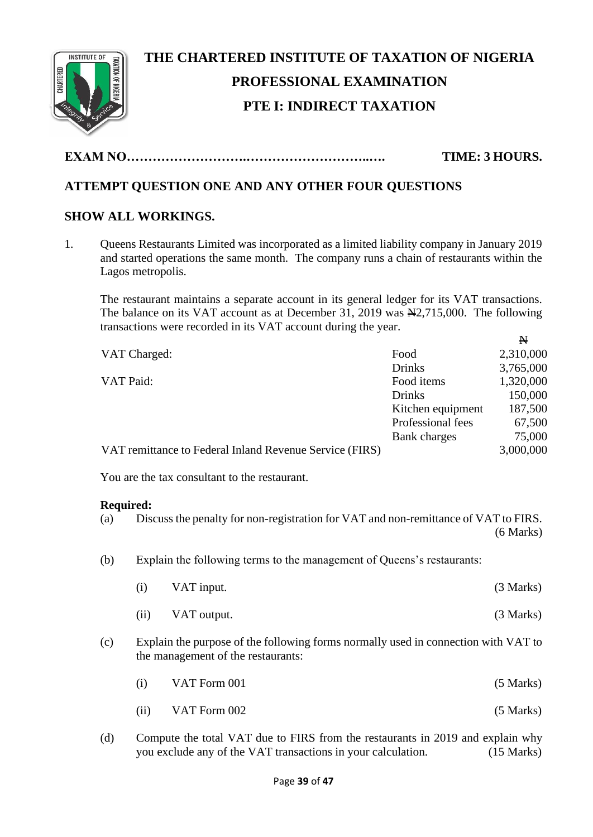

# **THE CHARTERED INSTITUTE OF TAXATION OF NIGERIA PROFESSIONAL EXAMINATION PTE I: INDIRECT TAXATION**

**EXAM NO……………………….………………………..…. TIME: 3 HOURS.**

# **ATTEMPT QUESTION ONE AND ANY OTHER FOUR QUESTIONS**

# **SHOW ALL WORKINGS.**

1. Queens Restaurants Limited was incorporated as a limited liability company in January 2019 and started operations the same month. The company runs a chain of restaurants within the Lagos metropolis.

The restaurant maintains a separate account in its general ledger for its VAT transactions. The balance on its VAT account as at December 31, 2019 was  $\mathbb{H}2,715,000$ . The following transactions were recorded in its VAT account during the year.

N

| VAT Charged:                                            | Food              | 2,310,000 |
|---------------------------------------------------------|-------------------|-----------|
|                                                         | <b>Drinks</b>     | 3,765,000 |
| VAT Paid:                                               | Food items        | 1,320,000 |
|                                                         | Drinks            | 150,000   |
|                                                         | Kitchen equipment | 187,500   |
|                                                         | Professional fees | 67,500    |
|                                                         | Bank charges      | 75,000    |
| VAT remittance to Federal Inland Revenue Service (FIRS) |                   | 3,000,000 |
| You are the tax consultant to the restaurant.           |                   |           |
|                                                         |                   |           |

#### **Required:**

| (a) |                    | Discuss the penalty for non-registration for VAT and non-remittance of VAT to FIRS.                                      | (6 Marks) |
|-----|--------------------|--------------------------------------------------------------------------------------------------------------------------|-----------|
| (b) |                    | Explain the following terms to the management of Queens's restaurants:                                                   |           |
|     | $\left( 1 \right)$ | VAT input.                                                                                                               | (3 Marks) |
|     | (i)                | VAT output.                                                                                                              | (3 Marks) |
| (c) |                    | Explain the purpose of the following forms normally used in connection with VAT to<br>the management of the restaurants: |           |

- $VAT$  Form 001 (5 Marks)
- (ii)  $VAT$  Form 002 (5 Marks)
- (d) Compute the total VAT due to FIRS from the restaurants in 2019 and explain why you exclude any of the VAT transactions in your calculation. (15 Marks)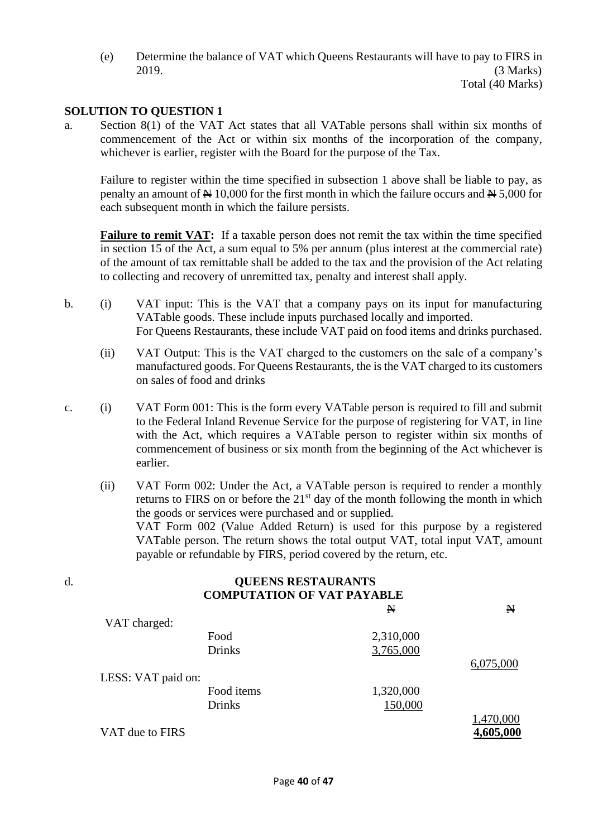(e) Determine the balance of VAT which Queens Restaurants will have to pay to FIRS in 2019. (3 Marks)

# Total (40 Marks)

# **SOLUTION TO QUESTION 1**

a. Section 8(1) of the VAT Act states that all VATable persons shall within six months of commencement of the Act or within six months of the incorporation of the company, whichever is earlier, register with the Board for the purpose of the Tax.

Failure to register within the time specified in subsection 1 above shall be liable to pay, as penalty an amount of  $\cancel{\text{N}}$  10,000 for the first month in which the failure occurs and  $\cancel{\text{N}}$  5,000 for each subsequent month in which the failure persists.

**Failure to remit VAT:** If a taxable person does not remit the tax within the time specified in section 15 of the Act, a sum equal to 5% per annum (plus interest at the commercial rate) of the amount of tax remittable shall be added to the tax and the provision of the Act relating to collecting and recovery of unremitted tax, penalty and interest shall apply.

- b. (i) VAT input: This is the VAT that a company pays on its input for manufacturing VATable goods. These include inputs purchased locally and imported. For Queens Restaurants, these include VAT paid on food items and drinks purchased.
	- (ii) VAT Output: This is the VAT charged to the customers on the sale of a company's manufactured goods. For Queens Restaurants, the is the VAT charged to its customers on sales of food and drinks
- c. (i) VAT Form 001: This is the form every VATable person is required to fill and submit to the Federal Inland Revenue Service for the purpose of registering for VAT, in line with the Act, which requires a VATable person to register within six months of commencement of business or six month from the beginning of the Act whichever is earlier.
	- (ii) VAT Form 002: Under the Act, a VATable person is required to render a monthly returns to FIRS on or before the  $21<sup>st</sup>$  day of the month following the month in which the goods or services were purchased and or supplied. VAT Form 002 (Value Added Return) is used for this purpose by a registered VATable person. The return shows the total output VAT, total input VAT, amount payable or refundable by FIRS, period covered by the return, etc.

| d. | <b>QUEENS RESTAURANTS</b><br><b>COMPUTATION OF VAT PAYABLE</b> |               |             |              |
|----|----------------------------------------------------------------|---------------|-------------|--------------|
|    |                                                                |               | $\mathbb N$ | $\mathbf{N}$ |
|    | VAT charged:                                                   |               |             |              |
|    |                                                                | Food          | 2,310,000   |              |
|    |                                                                | <b>Drinks</b> | 3,765,000   |              |
|    |                                                                |               |             | 6,075,000    |
|    | LESS: VAT paid on:                                             |               |             |              |
|    |                                                                | Food items    | 1,320,000   |              |
|    |                                                                | <b>Drinks</b> | 150,000     |              |
|    |                                                                |               |             | 1,470,000    |
|    | VAT due to FIRS                                                |               |             | 4,605,000    |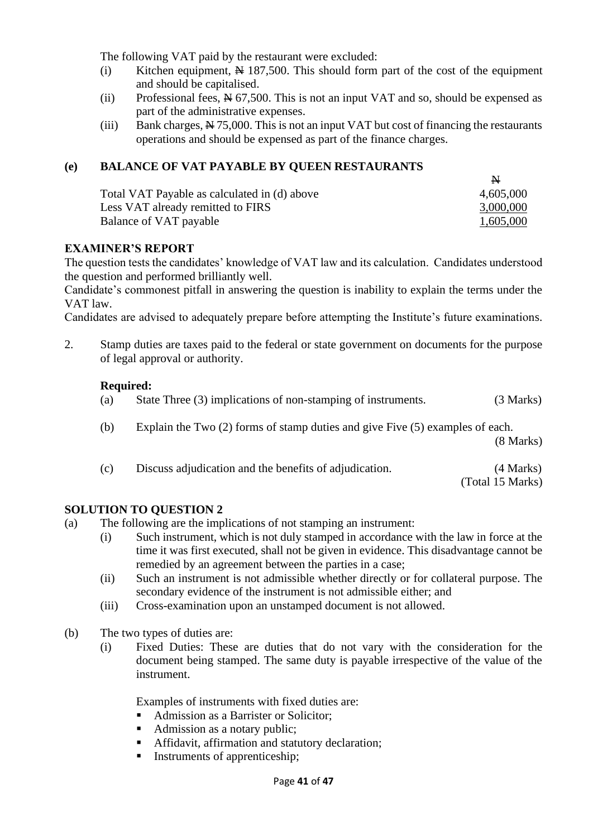The following VAT paid by the restaurant were excluded:

- (i) Kitchen equipment,  $\cancel{\text{N}}$  187,500. This should form part of the cost of the equipment and should be capitalised.
- (ii) Professional fees,  $\cancel{R}$  67,500. This is not an input VAT and so, should be expensed as part of the administrative expenses.
- (iii) Bank charges,  $\frac{N}{2}$  75,000. This is not an input VAT but cost of financing the restaurants operations and should be expensed as part of the finance charges.

# **(e) BALANCE OF VAT PAYABLE BY QUEEN RESTAURANTS**

|                                              | A.        |
|----------------------------------------------|-----------|
| Total VAT Payable as calculated in (d) above | 4,605,000 |
| Less VAT already remitted to FIRS            | 3,000,000 |
| Balance of VAT payable                       | 1,605,000 |

#### **EXAMINER'S REPORT**

The question tests the candidates' knowledge of VAT law and its calculation. Candidates understood the question and performed brilliantly well.

Candidate's commonest pitfall in answering the question is inability to explain the terms under the VAT law.

Candidates are advised to adequately prepare before attempting the Institute's future examinations.

2. Stamp duties are taxes paid to the federal or state government on documents for the purpose of legal approval or authority.

#### **Required:**

| State Three (3) implications of non-stamping of instruments.<br>(a) | (3 Marks) |
|---------------------------------------------------------------------|-----------|
|---------------------------------------------------------------------|-----------|

(b) Explain the Two (2) forms of stamp duties and give Five (5) examples of each.

(8 Marks)

(c) Discuss adjudication and the benefits of adjudication. (4 Marks) (Total 15 Marks)

#### **SOLUTION TO QUESTION 2**

- (a) The following are the implications of not stamping an instrument:
	- (i) Such instrument, which is not duly stamped in accordance with the law in force at the time it was first executed, shall not be given in evidence. This disadvantage cannot be remedied by an agreement between the parties in a case;
	- (ii) Such an instrument is not admissible whether directly or for collateral purpose. The secondary evidence of the instrument is not admissible either; and
	- (iii) Cross-examination upon an unstamped document is not allowed.
- (b) The two types of duties are:
	- (i) Fixed Duties: These are duties that do not vary with the consideration for the document being stamped. The same duty is payable irrespective of the value of the instrument.

Examples of instruments with fixed duties are:

- Admission as a Barrister or Solicitor:
- Admission as a notary public;
- **EXECUTE:** Affidavit, affirmation and statutory declaration;
- Instruments of apprenticeship;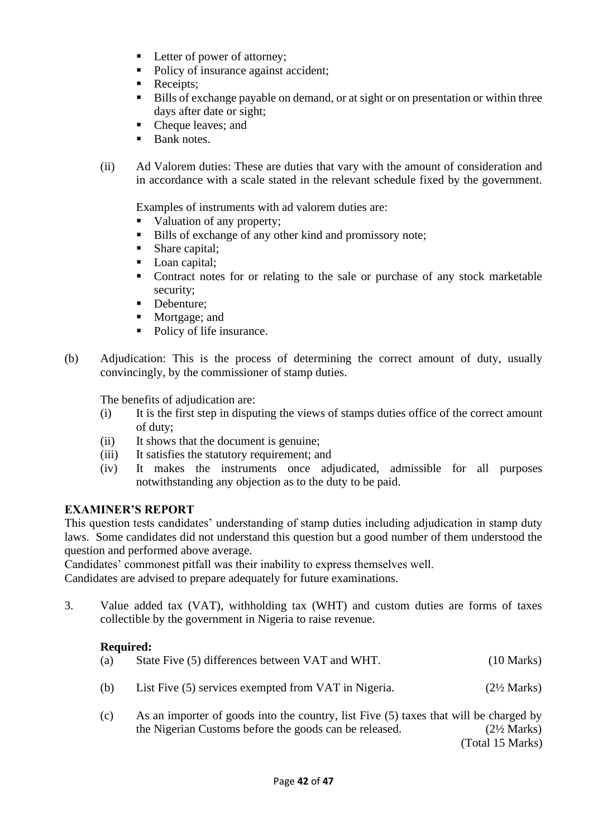- **•** Letter of power of attorney;
- Policy of insurance against accident;
- Receipts;
- Bills of exchange payable on demand, or at sight or on presentation or within three days after date or sight;
- Cheque leaves; and
- **Bank notes.**
- (ii) Ad Valorem duties: These are duties that vary with the amount of consideration and in accordance with a scale stated in the relevant schedule fixed by the government.

Examples of instruments with ad valorem duties are:

- Valuation of any property;
- Bills of exchange of any other kind and promissory note;
- Share capital;
- Loan capital;
- Contract notes for or relating to the sale or purchase of any stock marketable security;
- Debenture:
- Mortgage; and
- Policy of life insurance.
- (b) Adjudication: This is the process of determining the correct amount of duty, usually convincingly, by the commissioner of stamp duties.

The benefits of adjudication are:

- (i) It is the first step in disputing the views of stamps duties office of the correct amount of duty;
- (ii) It shows that the document is genuine;
- (iii) It satisfies the statutory requirement; and
- (iv) It makes the instruments once adjudicated, admissible for all purposes notwithstanding any objection as to the duty to be paid.

# **EXAMINER'S REPORT**

This question tests candidates' understanding of stamp duties including adjudication in stamp duty laws. Some candidates did not understand this question but a good number of them understood the question and performed above average.

Candidates' commonest pitfall was their inability to express themselves well.

Candidates are advised to prepare adequately for future examinations.

3. Value added tax (VAT), withholding tax (WHT) and custom duties are forms of taxes collectible by the government in Nigeria to raise revenue.

# **Required:**

| (a) | State Five (5) differences between VAT and WHT.      | $(10 \text{ Marks})$   |
|-----|------------------------------------------------------|------------------------|
| (b) | List Five (5) services exempted from VAT in Nigeria. | $(2\frac{1}{2}$ Marks) |

(c) As an importer of goods into the country, list Five (5) taxes that will be charged by the Nigerian Customs before the goods can be released. (2½ Marks)

(Total 15 Marks)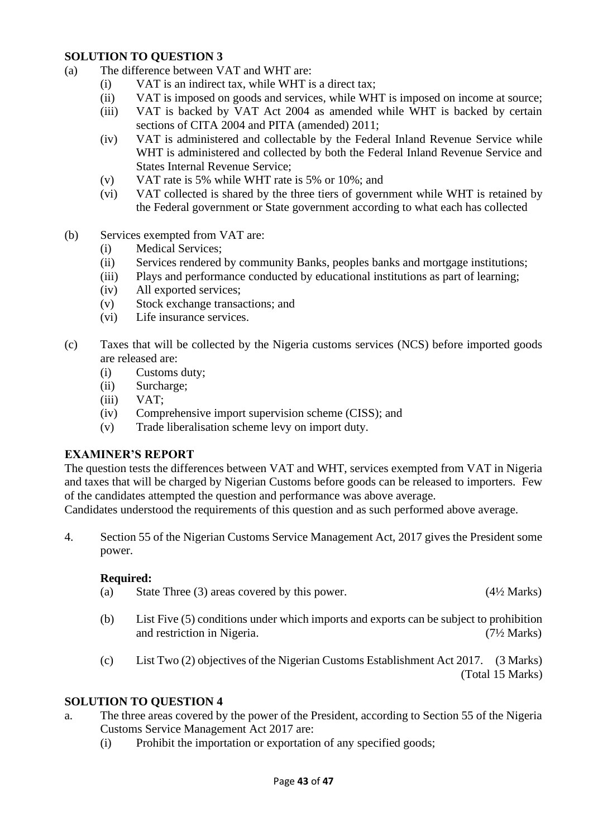#### **SOLUTION TO QUESTION 3**

- (a) The difference between VAT and WHT are:
	- (i) VAT is an indirect tax, while WHT is a direct tax;
	- (ii) VAT is imposed on goods and services, while WHT is imposed on income at source;
	- (iii) VAT is backed by VAT Act 2004 as amended while WHT is backed by certain sections of CITA 2004 and PITA (amended) 2011;
	- (iv) VAT is administered and collectable by the Federal Inland Revenue Service while WHT is administered and collected by both the Federal Inland Revenue Service and States Internal Revenue Service;
	- (v) VAT rate is 5% while WHT rate is 5% or 10%; and
	- (vi) VAT collected is shared by the three tiers of government while WHT is retained by the Federal government or State government according to what each has collected
- (b) Services exempted from VAT are:
	- (i) Medical Services;
	- (ii) Services rendered by community Banks, peoples banks and mortgage institutions;
	- (iii) Plays and performance conducted by educational institutions as part of learning;
	- (iv) All exported services;
	- (v) Stock exchange transactions; and
	- (vi) Life insurance services.
- (c) Taxes that will be collected by the Nigeria customs services (NCS) before imported goods are released are:
	- (i) Customs duty;
	- (ii) Surcharge;
	- (iii) VAT;
	- (iv) Comprehensive import supervision scheme (CISS); and
	- (v) Trade liberalisation scheme levy on import duty.

# **EXAMINER'S REPORT**

The question tests the differences between VAT and WHT, services exempted from VAT in Nigeria and taxes that will be charged by Nigerian Customs before goods can be released to importers. Few of the candidates attempted the question and performance was above average.

Candidates understood the requirements of this question and as such performed above average.

4. Section 55 of the Nigerian Customs Service Management Act, 2017 gives the President some power.

#### **Required:**

- (a) State Three (3) areas covered by this power.  $(4\frac{1}{2}$  Marks)
- (b) List Five (5) conditions under which imports and exports can be subject to prohibition and restriction in Nigeria. (7½ Marks)
- (c) List Two (2) objectives of the Nigerian Customs Establishment Act 2017. (3 Marks) (Total 15 Marks)

# **SOLUTION TO QUESTION 4**

- a. The three areas covered by the power of the President, according to Section 55 of the Nigeria Customs Service Management Act 2017 are:
	- (i) Prohibit the importation or exportation of any specified goods;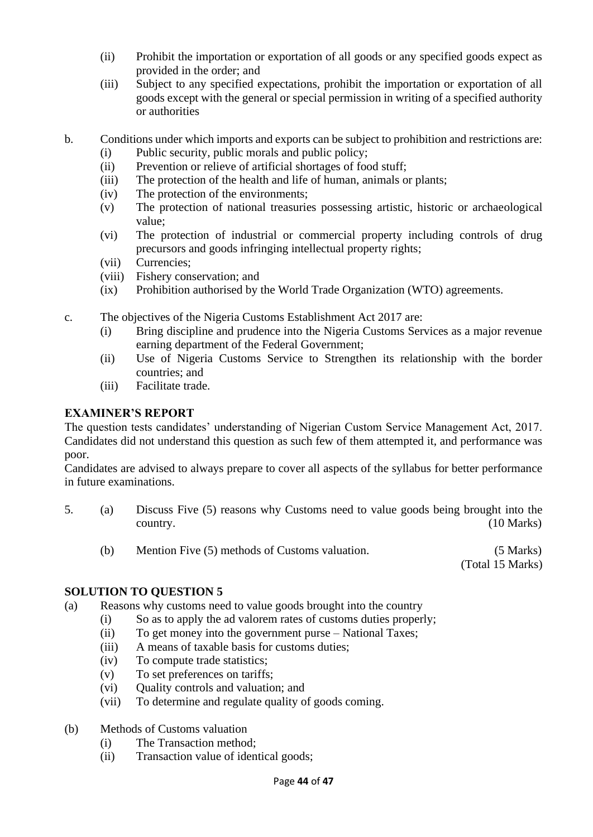- (ii) Prohibit the importation or exportation of all goods or any specified goods expect as provided in the order; and
- (iii) Subject to any specified expectations, prohibit the importation or exportation of all goods except with the general or special permission in writing of a specified authority or authorities
- b. Conditions under which imports and exports can be subject to prohibition and restrictions are:
	- (i) Public security, public morals and public policy;
	- (ii) Prevention or relieve of artificial shortages of food stuff;
	- (iii) The protection of the health and life of human, animals or plants;
	- (iv) The protection of the environments;
	- (v) The protection of national treasuries possessing artistic, historic or archaeological value;
	- (vi) The protection of industrial or commercial property including controls of drug precursors and goods infringing intellectual property rights;
	- (vii) Currencies;
	- (viii) Fishery conservation; and
	- (ix) Prohibition authorised by the World Trade Organization (WTO) agreements.
- c. The objectives of the Nigeria Customs Establishment Act 2017 are:
	- (i) Bring discipline and prudence into the Nigeria Customs Services as a major revenue earning department of the Federal Government;
	- (ii) Use of Nigeria Customs Service to Strengthen its relationship with the border countries; and
	- (iii) Facilitate trade.

The question tests candidates' understanding of Nigerian Custom Service Management Act, 2017. Candidates did not understand this question as such few of them attempted it, and performance was poor.

Candidates are advised to always prepare to cover all aspects of the syllabus for better performance in future examinations.

- 5. (a) Discuss Five (5) reasons why Customs need to value goods being brought into the country. (10 Marks)
	- (b) Mention Five (5) methods of Customs valuation. (5 Marks)

(Total 15 Marks)

# **SOLUTION TO QUESTION 5**

- (a) Reasons why customs need to value goods brought into the country
	- (i) So as to apply the ad valorem rates of customs duties properly;
	- (ii) To get money into the government purse National Taxes;
	- (iii) A means of taxable basis for customs duties;
	- (iv) To compute trade statistics;
	- (v) To set preferences on tariffs;
	- (vi) Quality controls and valuation; and
	- (vii) To determine and regulate quality of goods coming.
- (b) Methods of Customs valuation
	- (i) The Transaction method;
	- (ii) Transaction value of identical goods;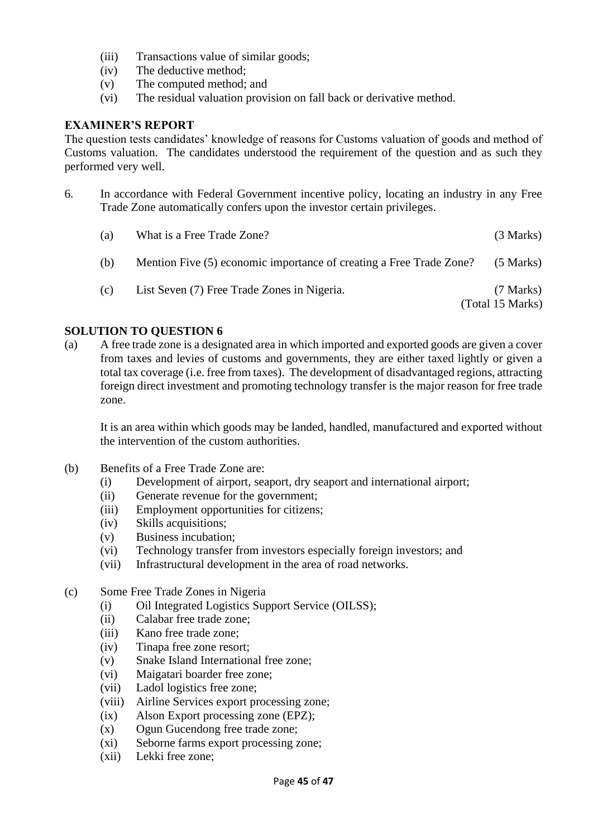- (iii) Transactions value of similar goods;
- (iv) The deductive method;
- (v) The computed method; and
- (vi) The residual valuation provision on fall back or derivative method.

The question tests candidates' knowledge of reasons for Customs valuation of goods and method of Customs valuation. The candidates understood the requirement of the question and as such they performed very well.

6. In accordance with Federal Government incentive policy, locating an industry in any Free Trade Zone automatically confers upon the investor certain privileges.

| (a) | What is a Free Trade Zone?                                          | (3 Marks)                       |
|-----|---------------------------------------------------------------------|---------------------------------|
| (b) | Mention Five (5) economic importance of creating a Free Trade Zone? | $(5$ Marks)                     |
| (c) | List Seven (7) Free Trade Zones in Nigeria.                         | $(7$ Marks)<br>(Total 15 Marks) |

#### **SOLUTION TO QUESTION 6**

(a) A free trade zone is a designated area in which imported and exported goods are given a cover from taxes and levies of customs and governments, they are either taxed lightly or given a total tax coverage (i.e. free from taxes). The development of disadvantaged regions, attracting foreign direct investment and promoting technology transfer is the major reason for free trade zone.

It is an area within which goods may be landed, handled, manufactured and exported without the intervention of the custom authorities.

- (b) Benefits of a Free Trade Zone are:
	- (i) Development of airport, seaport, dry seaport and international airport;
	- (ii) Generate revenue for the government;
	- (iii) Employment opportunities for citizens;
	- (iv) Skills acquisitions;
	- (v) Business incubation;
	- (vi) Technology transfer from investors especially foreign investors; and
	- (vii) Infrastructural development in the area of road networks.
- (c) Some Free Trade Zones in Nigeria
	- (i) Oil Integrated Logistics Support Service (OILSS);
	- (ii) Calabar free trade zone;
	- (iii) Kano free trade zone;
	- (iv) Tinapa free zone resort;
	- (v) Snake Island International free zone;
	- (vi) Maigatari boarder free zone;
	- (vii) Ladol logistics free zone;
	- (viii) Airline Services export processing zone;
	- (ix) Alson Export processing zone (EPZ);
	- (x) Ogun Gucendong free trade zone;
	- (xi) Seborne farms export processing zone;
	- (xii) Lekki free zone;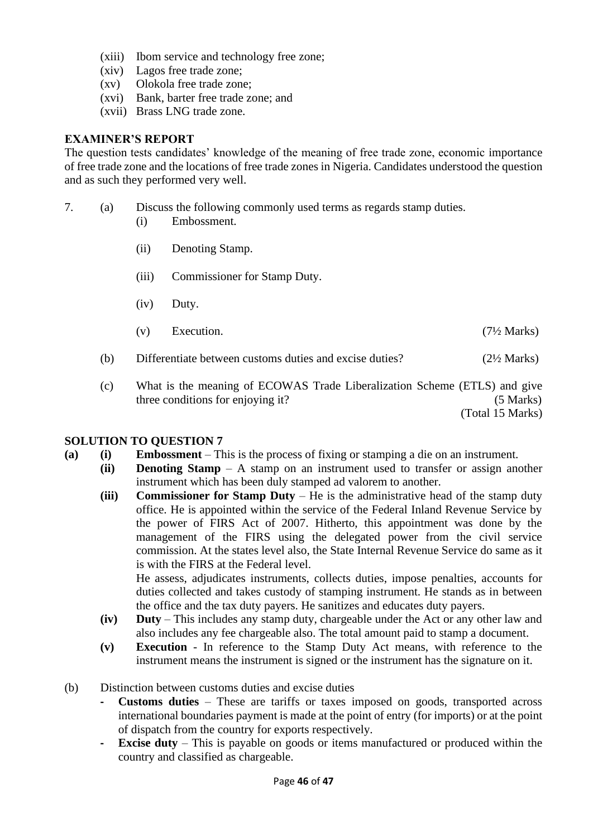- (xiii) Ibom service and technology free zone;
- (xiv) Lagos free trade zone;
- (xv) Olokola free trade zone;
- (xvi) Bank, barter free trade zone; and
- (xvii) Brass LNG trade zone.

The question tests candidates' knowledge of the meaning of free trade zone, economic importance of free trade zone and the locations of free trade zones in Nigeria. Candidates understood the question and as such they performed very well.

- 7. (a) Discuss the following commonly used terms as regards stamp duties.
	- (i) Embossment.
	- (ii) Denoting Stamp.
	- (iii) Commissioner for Stamp Duty.
	- (iv) Duty.
	- (v) Execution.  $(7\frac{1}{2} \text{ Marks})$
	- (b) Differentiate between customs duties and excise duties? (2½ Marks)
	- (c) What is the meaning of ECOWAS Trade Liberalization Scheme (ETLS) and give three conditions for enjoying it? (5 Marks)

(Total 15 Marks)

#### **SOLUTION TO QUESTION 7**

- **(a) (i) Embossment** This is the process of fixing or stamping a die on an instrument.
	- **(ii) Denoting Stamp** A stamp on an instrument used to transfer or assign another instrument which has been duly stamped ad valorem to another.
		- **(iii) Commissioner for Stamp Duty** He is the administrative head of the stamp duty office. He is appointed within the service of the Federal Inland Revenue Service by the power of FIRS Act of 2007. Hitherto, this appointment was done by the management of the FIRS using the delegated power from the civil service commission. At the states level also, the State Internal Revenue Service do same as it is with the FIRS at the Federal level. He assess, adjudicates instruments, collects duties, impose penalties, accounts for

duties collected and takes custody of stamping instrument. He stands as in between the office and the tax duty payers. He sanitizes and educates duty payers.

- **(iv) Duty** This includes any stamp duty, chargeable under the Act or any other law and also includes any fee chargeable also. The total amount paid to stamp a document.
- **(v) Execution**  In reference to the Stamp Duty Act means, with reference to the instrument means the instrument is signed or the instrument has the signature on it.
- (b) Distinction between customs duties and excise duties
	- **- Customs duties** These are tariffs or taxes imposed on goods, transported across international boundaries payment is made at the point of entry (for imports) or at the point of dispatch from the country for exports respectively.
	- **- Excise duty**  This is payable on goods or items manufactured or produced within the country and classified as chargeable.